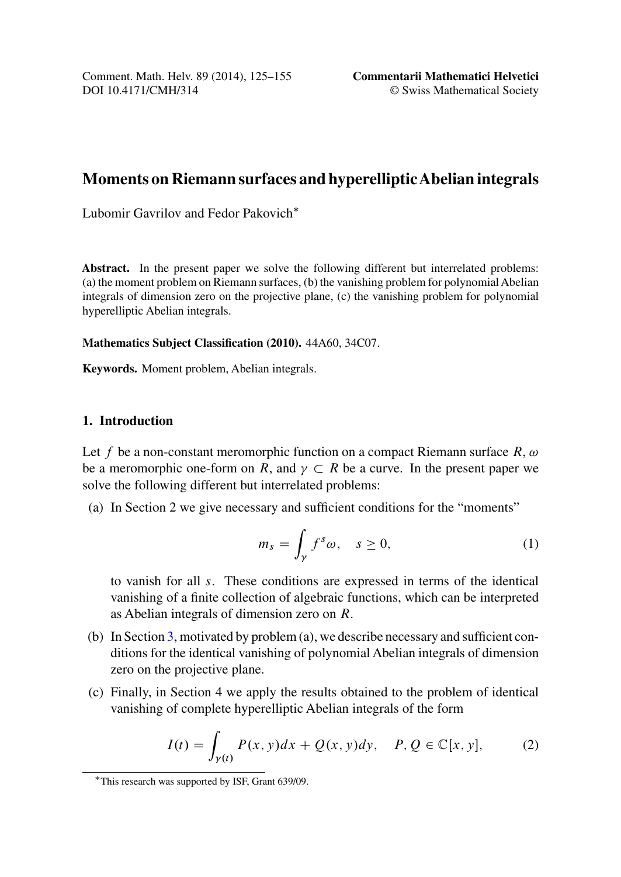<span id="page-0-0"></span>Comment. Math. Helv. 89 (2014), 125–155 DOI 10.4171/CMH/314

**Commentarii Mathematici Helvetici** © Swiss Mathematical Society

# **Moments on Riemann surfaces and hyperellipticAbelian integrals**

Lubomir Gavrilov and Fedor Pakovich\*

**Abstract.** In the present paper we solve the following different but interrelated problems: (a) the moment problem on Riemann surfaces, (b) the vanishing problem for polynomial Abelian integrals of dimension zero on the projective plane, (c) the vanishing problem for polynomial hyperelliptic Abelian integrals.

**Mathematics Subject Classification (2010).** 44A60, 34C07.

**Keywords.** Moment problem, Abelian integrals.

### **1. Introduction**

Let f be a non-constant meromorphic function on a compact Riemann surface  $R, \omega$ be a meromorphic one-form on R, and  $\gamma \subset R$  be a curve. In the present paper we solve the follo[win](#page-9-0)g different but interrelated problems:

(a) In Section 2 we give necessary and sufficient conditions for the "moments"

$$
m_s = \int_{\gamma} f^s \omega, \quad s \ge 0,
$$
 (1)

to vanish for all s. These conditions are expressed in terms of the identical vanishing of a finite collection of algebraic functions, which can be interpreted as Abelian integrals of dimension zero on R.

- (b) In Section 3, motivated by problem (a), we describe necessary and sufficient conditions for the identical vanishing of polynomial Abelian integrals of dimension zero on the projective plane.
- (c) Finally, in Section 4 we apply the results obtained to the problem of identical vanishing of complete hyperelliptic Abelian integrals of the form

$$
I(t) = \int_{\gamma(t)} P(x, y) dx + Q(x, y) dy, \quad P, Q \in \mathbb{C}[x, y], \tag{2}
$$

<sup>-</sup>This research was supported by ISF, Grant 639/09.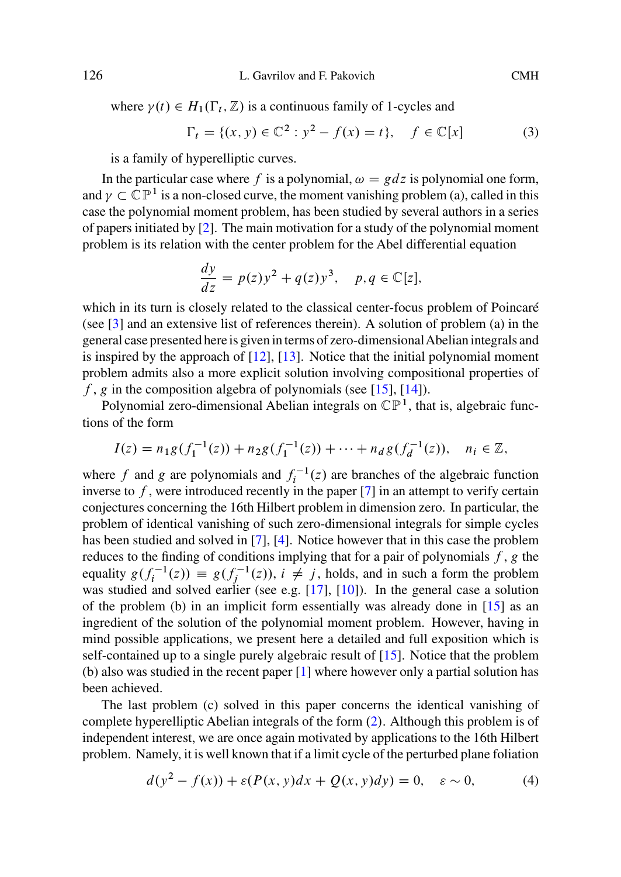where  $\gamma(t) \in H_1(\Gamma_t, \mathbb{Z})$  is a continuous family of 1-cycles and

$$
\Gamma_t = \{ (x, y) \in \mathbb{C}^2 : y^2 - f(x) = t \}, \quad f \in \mathbb{C}[x] \tag{3}
$$

is a family of hyperelliptic curves.

I[n th](#page-29-0)e particular case where f is a polynomial,  $\omega = gdz$  is polynomial one form, and  $\gamma \subset \mathbb{CP}^1$  is a non-closed curve, the moment vanishing problem (a), called in this case the polynomial moment p[robl](#page-30-0)e[m, h](#page-30-0)as been studied by several authors in a series of papers initiated by [2]. The main motivation for a study of the polynomial moment problem is its relation with the center problem for th[e Ab](#page-30-0)el [dif](#page-30-0)ferential equation

$$
\frac{dy}{dz} = p(z)y^2 + q(z)y^3, \quad p, q \in \mathbb{C}[z],
$$

which in its turn is closely related to the classical center-focus problem of Poincaré (see [3] and an extensive list of references therein). A solution of problem (a) in the general case presented here is given in terms of zero-[dim](#page-29-0)ensionalAbelian integrals and is inspired by the approach of  $[12]$ ,  $[13]$ . Notice that the initial polynomial moment problem admits also a more explicit solution involving compositional properties of f, g in the composition algebr[a o](#page-29-0)f [po](#page-29-0)lynomials (see [15], [14]).

Polynomial zero-dimensional Abelian integrals on  $\mathbb{CP}^1$ , that is, algebraic functions of the form

$$
I(z) = n_1 g(f_1^{-1}(z)) + n_2 g(f_1^{-1}(z)) + \dots + n_d g(f_d^{-1}(z)), \quad n_i \in \mathbb{Z},
$$

where f and g are polynomials and  $f_i^{-1}(z)$  are branches of the algebraic function inverse to  $f$ , were introduced recently in the paper  $[7]$  in an attempt to verify certain conjectures concerning the 16th Hilbert problem in dim[ens](#page-30-0)ion zero. In particular, the problem of identical vanishing of such [ze](#page-29-0)ro-dimensional integrals for simple cycles has been studied and solved in [7], [4]. Notice however that in this case the problem reduces to the finding of conditions implying that for a pair of polynomials  $f$ , g the equality  $g(f_i^{-1}(z)) \equiv g(f_i^{-1}(z)), i \neq j$ , holds, a[nd](#page-0-0) in such a form the problem<br>was studied and solved earlier (see e.g. [17], [10]). In the general case a solution was studied and solved earlier (see e.g. [17], [10]). In the general case a solution of the problem (b) in an implicit form essentially was already done in  $[15]$  as an ingredient of the solution of the polynomial moment problem. However, having in mind possible applications, we present here a detailed and full exposition which is self-contained up to a single purely algebraic result of [15]. Notice that the problem (b) also was studied in the recent paper [1] where however only a partial solution has been achieved.

The last problem (c) solved in this paper concerns the identical vanishing of complete hyperelliptic Abelian integrals of the form  $(2)$ . Although this problem is of independent interest, we are once again motivated by applications to the 16th Hilbert problem. Namely, it is well known that if a limit cycle of the perturbed plane foliation

$$
d(y2 - f(x)) + \varepsilon(P(x, y)dx + Q(x, y)dy) = 0, \quad \varepsilon \sim 0,
$$
 (4)

<span id="page-1-0"></span>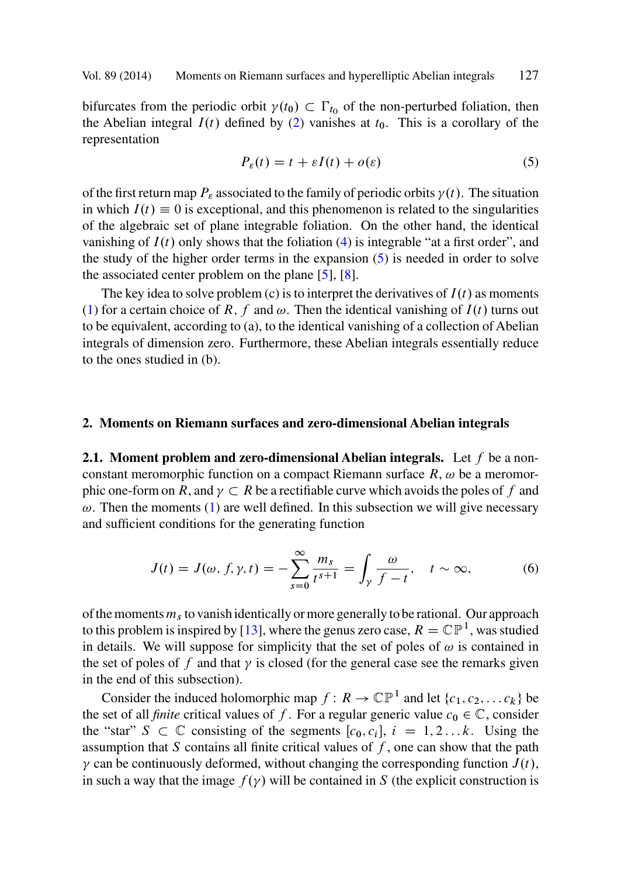<span id="page-2-0"></span>bifurcates fr[o](#page-1-0)m the periodic orbit  $\gamma(t_0) \subset \Gamma_{t_0}$  of the non-perturbed foliation, then<br>the Abelian integral  $I(t)$  defined by (2) vanishes at to This is a corollary of the the Abelian integral  $I(t)$  defined by (2) v[ani](#page-29-0)s[hes](#page-29-0) at  $t_0$ . This is a corollary of the representation

$$
P_{\varepsilon}(t) = t + \varepsilon I(t) + o(\varepsilon)
$$
\n(5)

of the first return map  $P_{\varepsilon}$  associated to the family of periodic orbits  $\gamma(t)$ . The situation in which  $I(t) \equiv 0$  is exceptional, and this phenomenon is related to the singularities of the algebraic set of plane integrable foliation. On the other hand, the identical vanishing of  $I(t)$  only shows that the foliation (4) is integrable "at a first order", and the study of the higher order terms in the expansion (5) is needed in order to solve the associated center problem on the plane [5], [8].

The key idea to solve problem (c) is to interpret the derivatives of  $I(t)$  as moments (1) for a certain choice of R, f and  $\omega$ . Then the identical vanishing of  $I(t)$  turns out to be equivalent, according to (a), to the identical vanishing of a collection of Abelian integrals of dimension zero. Furthermore, these Abelian integrals essentially reduce to the ones studied in ([b\)](#page-0-0).

### **2. Moments on Riemann surfaces and zero-dimensional Abelian integrals**

**2.1. Moment problem and zero-dimensional Abelian integrals.** Let f be a nonconstant meromorphic function on a compact Riemann surface  $R$ ,  $\omega$  be a meromor-phic one-form on [R](#page-30-0), and  $\gamma \subset R$  be a rectifiable curve which avoids the poles of f and  $\omega$ . Then the moments (1) are well defined. In this subsection we will give necessary and sufficient conditions for the generating function

$$
J(t) = J(\omega, f, \gamma, t) = -\sum_{s=0}^{\infty} \frac{m_s}{t^{s+1}} = \int_{\gamma} \frac{\omega}{f - t}, \quad t \sim \infty,
$$
 (6)

of the moments  $m<sub>s</sub>$  to vanish identically or more generally to be rational. Our approach to this problem is inspired by [13], where the genus zero case,  $R = \mathbb{CP}^1$ , was studied in details. We will suppose for simplicity that the set of poles of  $\omega$  is contained in the set of poles of f and that  $\gamma$  is closed (for the general case see the remarks given in the end of this subsection).

Consider the induced holomorphic map  $f: R \to \mathbb{CP}^1$  and let  $\{c_1, c_2, \ldots c_k\}$  be the set of all *finite* critical values of f. For a regular generic value  $c_0 \in \mathbb{C}$ , consider the "star"  $S \subset \mathbb{C}$  consisting of the segments  $[c_0, c_i]$ ,  $i = 1, 2...k$ . Using the assumption that S contains all finite critical values of f one can show that the path assumption that S contains all finite critical values of  $f$ , one can show that the path  $\gamma$  can be continuously deformed, without changing the corresponding function  $J(t)$ , in such a way that the image  $f(\gamma)$  will be contained in S (the explicit construction is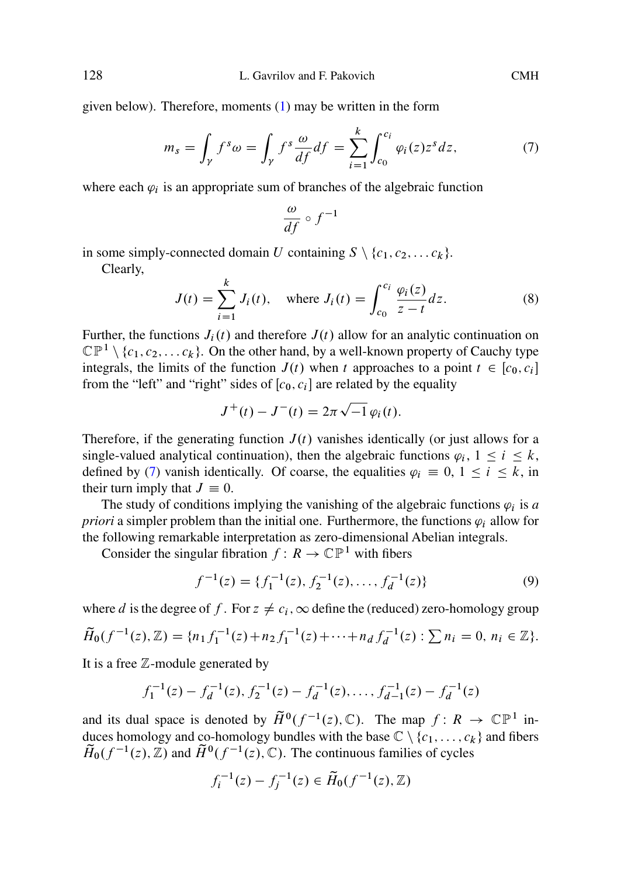given below). Therefore, moments (1) may be written in the form

$$
m_s = \int_{\gamma} f^s \omega = \int_{\gamma} f^s \frac{\omega}{df} df = \sum_{i=1}^k \int_{c_0}^{c_i} \varphi_i(z) z^s dz, \tag{7}
$$

where each  $\varphi_i$  is an appropriate sum of branches of the algebraic function

$$
\frac{\omega}{df} \circ f^{-1}
$$

in some simply-connected domain U containing  $S \setminus \{c_1, c_2, \ldots c_k\}.$ 

Clearly,

$$
J(t) = \sum_{i=1}^{k} J_i(t), \text{ where } J_i(t) = \int_{c_0}^{c_i} \frac{\varphi_i(z)}{z - t} dz.
$$
 (8)

Further, the functions  $J_i(t)$  and therefore  $J(t)$  allow for an analytic continuation on  $\mathbb{CP}^1 \setminus \{c_1,c_2,\ldots c_k\}$ . On the other hand, by a well-known property of Cauchy type integrals, the limits of the function  $J(t)$  when t approaches to a point  $t \in [c_0, c_i]$ from the "left" and "right" sides of  $[c_0, c_i]$  are related by the equality

$$
J^+(t) - J^-(t) = 2\pi \sqrt{-1} \varphi_i(t).
$$

Therefore, if the generating function  $J(t)$  vanishes identically (or just allows for a single-valued analytical continuation), then the algebraic functions  $\varphi_i$ ,  $1 \le i \le k$ , defined by (7) vanish identically. Of coarse, the equalities  $\varphi_i \equiv 0, 1 \le i \le k$ , in their turn imply that  $J \equiv 0$ .

The study of conditions implying the vanishing of the algebraic functions  $\varphi_i$  is *a priori* a simpler problem than the initial one. Furthermore, the functions  $\varphi_i$  allow for the following remarkable interpretation as zero-dimensional Abelian integrals.

Consider the singular fibration  $f: R \to \mathbb{CP}^1$  with fibers

$$
f^{-1}(z) = \{f_1^{-1}(z), f_2^{-1}(z), \dots, f_d^{-1}(z)\}\tag{9}
$$

where d is the degree of f. For  $z \neq c_i$ ,  $\infty$  define the (reduced) zero-homology group

$$
\widetilde{H}_0(f^{-1}(z),\mathbb{Z}) = \{n_1 f_1^{-1}(z) + n_2 f_1^{-1}(z) + \dots + n_d f_d^{-1}(z) : \sum n_i = 0, n_i \in \mathbb{Z}\}.
$$

It is a free  $Z$ -module generated by

$$
f_1^{-1}(z) - f_d^{-1}(z), f_2^{-1}(z) - f_d^{-1}(z), \dots, f_{d-1}^{-1}(z) - f_d^{-1}(z)
$$

and its dual space is denoted by  $\tilde{H}^0(f^{-1}(z), \mathbb{C})$ . The map  $f: R \to \mathbb{CP}^1$  induces homology and co-homology bundles with the base  $\mathbb{C} \setminus \{c_1,\ldots,c_k\}$  and fibers  $\widetilde{H}_0(f^{-1}(z), \mathbb{Z})$  and  $\widetilde{H}^0(f^{-1}(z), \mathbb{C})$ . The continuous families of cycles

$$
f_i^{-1}(z) - f_j^{-1}(z) \in \tilde{H}_0(f^{-1}(z), \mathbb{Z})
$$

<span id="page-3-0"></span>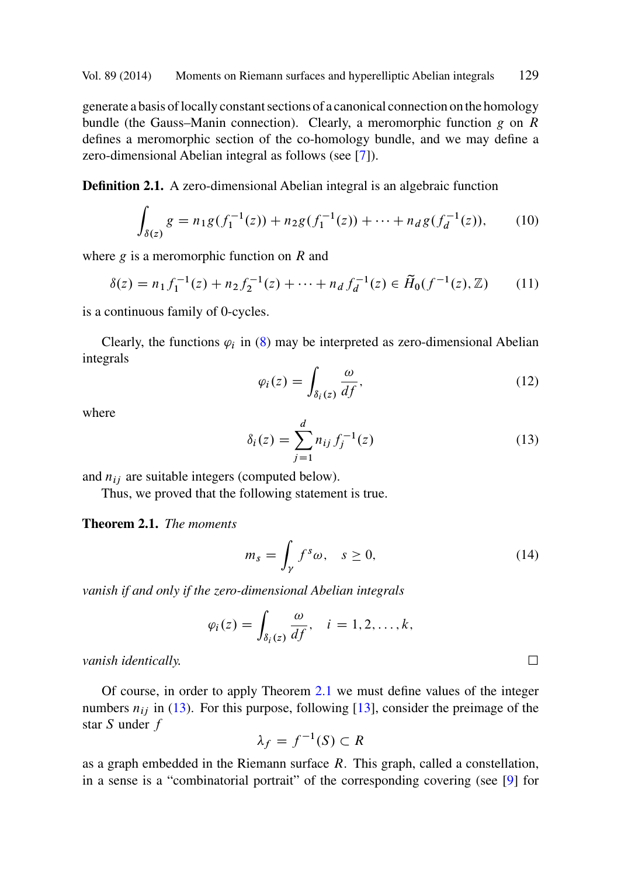<span id="page-4-0"></span>generate a basis of locally constant sections of a canonical connection on the homology bundle (the Gauss–Manin connection). Clearly, a meromorphic function  $g$  on  $R$ defines a meromorphic section of the co-homology bundle, and we may define a zero-dimensional Abelian integral as follows (see [7]).

**Definition 2.1.** A zero-dimensi[ona](#page-3-0)l Abelian integral is an algebraic function

$$
\int_{\delta(z)} g = n_1 g(f_1^{-1}(z)) + n_2 g(f_1^{-1}(z)) + \dots + n_d g(f_d^{-1}(z)), \tag{10}
$$

where  $g$  is a meromorphic function on  $R$  and

$$
\delta(z) = n_1 f_1^{-1}(z) + n_2 f_2^{-1}(z) + \dots + n_d f_d^{-1}(z) \in \widetilde{H}_0(f^{-1}(z), \mathbb{Z}) \tag{11}
$$

is a continuous family of 0-cycles.

Clearly, the functions  $\varphi_i$  in (8) may be interpreted as zero-dimensional Abelian integrals

$$
\varphi_i(z) = \int_{\delta_i(z)} \frac{\omega}{df},\tag{12}
$$

where

$$
\delta_i(z) = \sum_{j=1}^d n_{ij} f_j^{-1}(z)
$$
\n(13)

and  $n_{ij}$  are suitable integers (computed below).

Thus, we proved that the following statement is true.

**Theorem 2.1.** *The moments*

$$
m_s = \int_{\gamma} f^s \omega, \quad s \ge 0,
$$
\n(14)

*vanish if and only if the zero-dimensional Abelian integrals*

$$
\varphi_i(z) = \int_{\delta_i(z)} \frac{\omega}{df}, \quad i = 1, 2, \dots, k,
$$

*vanish identically.* -

Of course, in order to apply Theorem 2.1 we must define values of the integer numbers  $n_{ij}$  in (13). For this purpose, following [13], consider the preimage of the star S under f

$$
\lambda_f = f^{-1}(S) \subset R
$$

as a graph embedded in the Riemann surface  $R$ . This graph, called a constellation, in a sense is a "combinatorial portrait" of the corresponding covering (see [9] for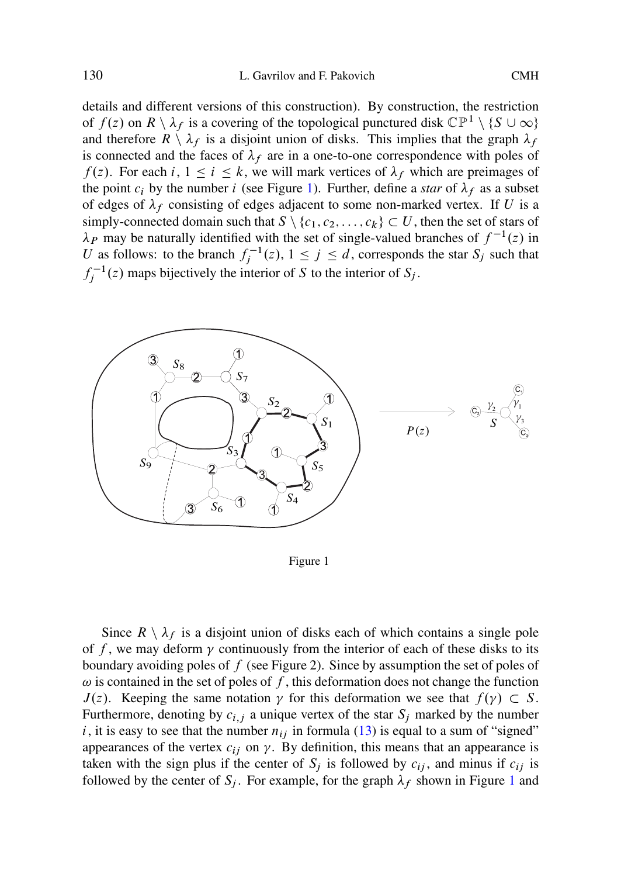details and different versions of this construction). By construction, the restriction of  $f(z)$  on  $R \setminus \lambda_f$  is a covering of the topological punctured disk  $\mathbb{CP}^1 \setminus \{S \cup \infty\}$ and therefore  $R \setminus \lambda_f$  is a disjoint union of disks. This implies that the graph  $\lambda_f$ is connected and the faces of  $\lambda_f$  are in a one-to-one correspondence with poles of  $f(z)$ . For each i,  $1 \le i \le k$ , we will mark vertices of  $\lambda_f$  which are preimages of the point  $c_i$  by the number i (see Figure 1). Further, define a *star* of  $\lambda_f$  as a subset of edges of  $\lambda_f$  consisting of edges adjacent to some non-marked vertex. If U is a simply-connected domain such that  $S \setminus \{c_1, c_2, \ldots, c_k\} \subset U$ , then the set of stars of  $\lambda$  p may be naturally identified with the set of single-valued branches of  $f^{-1}(z)$  in  $\lambda_P$  may be naturally identified with the set of single-valued branches of  $f^{-1}(z)$  in U as follows: to the branch  $f_j^{-1}(z)$ ,  $1 \le j \le d$ , corresponds the star  $S_j$  such that  $f_j^{-1}(z)$  maps bijectively the interior of S to the interior of S<sub>j</sub>.





Since  $R \setminus \lambda_f$  is a disjoint union of disks each of which contains a single pole of f, we may deform  $\gamma$  continuously from the interior of each of these disks to its boundary avoiding poles of  $f$  (see Figure 2). Since by assumption the set of poles of  $\omega$  is contained in the set of poles of f, this deformation does not change the function  $J(z)$ . Keeping the same notation  $\gamma$  for this deformation we see that  $f(\gamma) \subset S$ .<br>Furthermore, denoting by  $c_{\gamma+1}$  a unique vertex of the star S, marked by the number Furthermore, denoting by  $c_{i,j}$  a unique vertex of the star  $S_i$  marked by the number i, it is easy to see that the number  $n_{ij}$  in formula (13) is equal to a sum of "signed" appearances of the vertex  $c_{ij}$  on  $\gamma$ . By definition, this means that an appearance is taken with the sign plus if the center of  $S_i$  is followed by  $c_{ij}$ , and minus if  $c_{ij}$  is followed by the center of  $S_i$ . For example, for the graph  $\lambda_f$  shown in Figure 1 and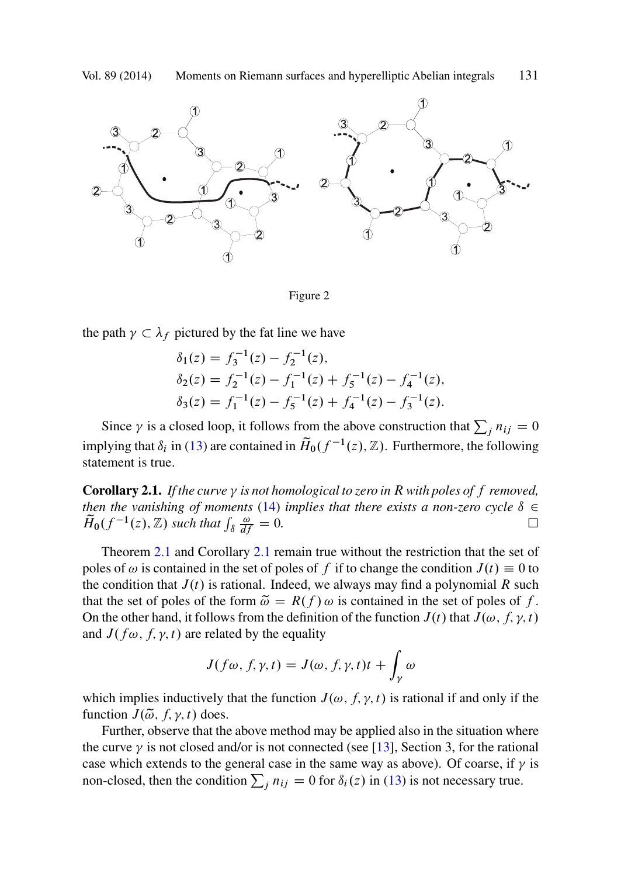<span id="page-6-0"></span>



the path  $\gamma$  $\frac{1}{\sqrt{2}}$  $\subset \lambda_f$  pictured by the fat line we have

$$
\delta_1(z) = f_3^{-1}(z) - f_2^{-1}(z),
$$
  
\n
$$
\delta_2(z) = f_2^{-1}(z) - f_1^{-1}(z) + f_5^{-1}(z) - f_4^{-1}(z),
$$
  
\n
$$
\delta_3(z) = f_1^{-1}(z) - f_5^{-1}(z) + f_4^{-1}(z) - f_3^{-1}(z).
$$

Since  $\gamma$  is a closed loop, it follows from the above construction that  $\sum_j n_{ij} = 0$ implying that  $\delta_i$  in (13) are contained in  $\tilde{H}_0(f^{-1}(z), \mathbb{Z})$ . Furthermore, the following statement is true.

**Corollary 2.1.** If the curve  $\gamma$  is not homological to zero in R with poles of  $f$  removed, *then the vanishing of moments* (14) *implies that there exists a non-zero cycle*  $\delta \in$  $\widetilde{H}_0(f^{-1}(z),\mathbb{Z})$  such that  $\int_{\delta} \frac{\omega}{dy}$  $\frac{\omega}{df} = 0.$  $\Box$ 

Theorem 2.1 and Corollary 2.1 remain true without the restriction that the set of poles of  $\omega$  is contained in the set of poles of f if to change the condition  $J(t) \equiv 0$  to the condition that  $J(t)$  is rational. Indeed, we always may find a polynomial R such that the set of poles of the form  $\tilde{\omega} = R(f) \omega$  is cont[aine](#page-30-0)d in the set of poles of f. On the other hand, it follows from the definition of the function  $J(t)$  that  $J(\omega, f, \gamma, t)$ and  $J(f\omega, f, \gamma, t)$  are related by the equality

$$
J(f\omega, f, \gamma, t) = J(\omega, f, \gamma, t)t + \int_{\gamma} \omega
$$

which implies inductively that the function  $J(\omega, f, \gamma, t)$  is rational if and only if the function  $J(\tilde{\omega}, f, \gamma, t)$  does.<br>Further, observe that the

Further, observe that the above method may be applied also in the situation where the curve  $\gamma$  is not closed and/or is not connected (see [13], Section 3, for the rational case which extends to the general case in the same way as above). Of coarse, if  $\gamma$  is non-closed, then the condition  $\sum_j n_{ij} = 0$  for  $\delta_i(z)$  in (13) is not necessary true.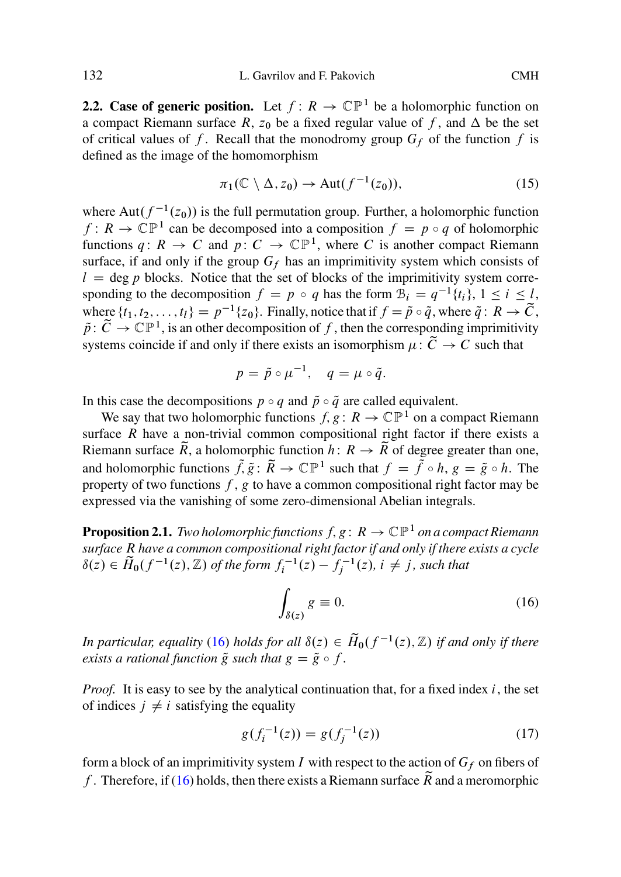**2.2. Case of generic position.** Let  $f: R \to \mathbb{CP}^1$  be a holomorphic function on a compact Riemann surface R,  $z_0$  be a fixed regular value of f, and  $\Delta$  be the set of critical values of f. Recall that the monodromy group  $G_f$  of the function f is defined as the image of the homomorphism

$$
\pi_1(\mathbb{C}\setminus\Delta,z_0)\to\text{Aut}(f^{-1}(z_0)),\tag{15}
$$

where Aut( $f^{-1}(z_0)$ ) is the full permutation group. Further, a holomorphic function  $f: R \to \mathbb{CP}^1$  can be decomposed into a composition  $f = p \circ q$  of holomorphic functions  $q: R \to C$  and  $p: C \to \mathbb{CP}^1$ , where C is another compact Riemann surface, if and only if the group  $G_f$  has an imprimitivity system which consists of  $l = \deg p$  blocks. Notice that the set of blocks of the imprimitivity system corresponding to the decomposition  $f = p \circ q$  has the form  $B_i = q^{-1}{t_i}$ ,  $1 \le i \le l$ , where  $\{t_1, t_2, \ldots, t_l\} = p^{-1}\{z_0\}$ . Finally, notice that if  $f = \tilde{p} \circ \tilde{q}$ , where  $\tilde{q} \colon R \to \tilde{C}$ ,  $\tilde{p}$ :  $\tilde{C} \to \mathbb{CP}^1$ , is an other decomposition of f, then the corresponding imprimitivity systems coincide if and only if there exists an isomorphism  $\mu : \tilde{C} \to C$  such that

$$
p = \tilde{p} \circ \mu^{-1}, \quad q = \mu \circ \tilde{q}.
$$

In this case the decompositions  $p \circ q$  and  $\tilde{p} \circ \tilde{q}$  are called equivalent.

We say that two holomorphic functions  $f, g : R \to \mathbb{CP}^1$  on a compact Riemann surface  $R$  have a non-trivial common compositional right factor if there exists a Riemann surface  $\widetilde{R}$ , a holomorphic function  $h: R \to \widetilde{R}$  of degree greater than one, and holomorphic functions  $\tilde{f},\tilde{g}:\tilde{R} \to \mathbb{CP}^1$  such that  $f = \tilde{f} \circ h, g = \tilde{g} \circ h$ . The property of two functions  $f$ ,  $g$  to have a common compositional right factor may be expressed via the vanishing of some zero-dimensional Abelian integrals.

**Proposition 2.1.** *Two holomorphic functions*  $f, g: R \to \mathbb{CP}^1$  *on a compact Riemann surface* R *have a common compositional right factor if and only if there exists a cycle*  $\delta(z) \in \tilde{H}_0(f^{-1}(z), \mathbb{Z})$  of the form  $f_i^{-1}(z) - f_j^{-1}(z)$ ,  $i \neq j$ , such that

$$
\int_{\delta(z)} g \equiv 0. \tag{16}
$$

*In particular, equality* (16) *holds for all*  $\delta(z) \in \tilde{H}_0(f^{-1}(z), \mathbb{Z})$  *if and only if there exists a rational function*  $\tilde{g}$  *such that*  $g = \tilde{g} \circ f$ *.* 

*Proof.* It is easy to see by the analytical continuation that, for a fixed index  $i$ , the set of indices  $j \neq i$  satisfying the equality

$$
g(f_i^{-1}(z)) = g(f_j^{-1}(z))
$$
\n(17)

form a block of an imprimitivity system I with respect to the action of  $G_f$  on fibers of f. Therefore, if (16) holds, then there exists a Riemann surface  $\tilde{R}$  and a meromorphic

<span id="page-7-0"></span>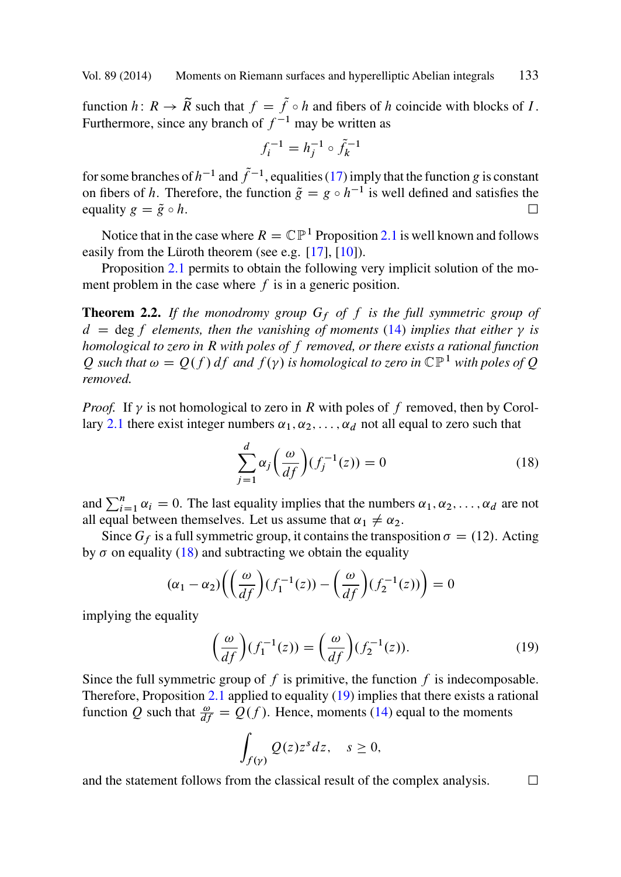function h:  $R \to \tilde{R}$  such that  $f = \tilde{f} \circ h$  [an](#page-30-0)d [fibe](#page-30-0)rs of h coincide with blocks of I. Furthermore, s[ince](#page-7-0) any branch of  $f^{-1}$  may be written as

$$
f_i^{-1} = h_j^{-1} \circ \tilde{f}_k^{-1}
$$

for some branches of  $h^{-1}$  and  $\tilde{f}^{-1}$ , equalities (17) imply that the function g is constant on fibers of h. Therefore, the function  $\tilde{g} = g \circ h^{-1}$  is [well](#page-4-0) defined and satisfies the equality  $g = \tilde{g} \circ h$ . equality  $g = \tilde{g} \circ h$ .

Notice that in the case where  $R = \mathbb{CP}^1$  Proposition 2.1 is well known and follows easily from the Lüroth theorem (see e.g. [17], [10]).

Proposition 2.1 permits to obtain the following very implicit solution of the mome[nt](#page-6-0) [pro](#page-6-0)blem in the case where  $f$  is in a generic position.

**Theorem 2.2.** If the monodromy group  $G_f$  of  $f$  is the full symmetric group of  $d = \deg f$  *elements, then the vanishing of moments* (14) *implies that either*  $\gamma$  *is*<br>homological to zero in B with poles of f removed or there exists a rational function *homological to zero in* R *with poles of* f *removed, or there exists a rational function* Q such that  $\omega = Q(f) df$  and  $f(\gamma)$  is homological to zero in  $\mathbb{CP}^1$  with poles of Q removed *removed.*

*Proof.* If  $\gamma$  is not homological to zero in R with poles of f removed, then by Corollary 2.1 there exist integer numbers  $\alpha_1, \alpha_2, \ldots, \alpha_d$  not all equal to zero such that

$$
\sum_{j=1}^{d} \alpha_j \left(\frac{\omega}{df}\right) (f_j^{-1}(z)) = 0 \tag{18}
$$

and  $\sum_{i=1}^{n} \alpha_i = 0$ . The last equality implies that the numbers  $\alpha_1, \alpha_2, \dots, \alpha_d$  are not all equal between themselves. Let us assume that  $\alpha_i \neq \alpha_2$ all equal between themselves. Let us assume that  $\alpha_1 \neq \alpha_2$ .

Since  $G_f$  is a full symmetric group, it contains the transposition  $\sigma = (12)$ . Acting by  $\sigma$  on equality (18) [and s](#page-7-0)ubtracting we obtain the equality

$$
(\alpha_1 - \alpha_2) \left( \left( \frac{\omega}{df} \right) (f_1^{-1}(z)) - \left( \frac{\omega}{df} \right) (f_2^{-1}(z)) \right) = 0
$$

implying the equality

$$
\left(\frac{\omega}{df}\right)(f_1^{-1}(z)) = \left(\frac{\omega}{df}\right)(f_2^{-1}(z)).\tag{19}
$$

Since the full symmetric group of  $f$  is primitive, the function  $f$  is indecomposable. Therefore, Proposition  $2.1$  applied to equality  $(19)$  implies that there exists a rational function Q such that  $\frac{\omega}{df} = Q(f)$ . Hence, moments (14) equal to the moments

$$
\int_{f(\gamma)} Q(z)z^s dz, \quad s \ge 0,
$$

and the statement follows from the classical result of the complex analysis.  $\Box$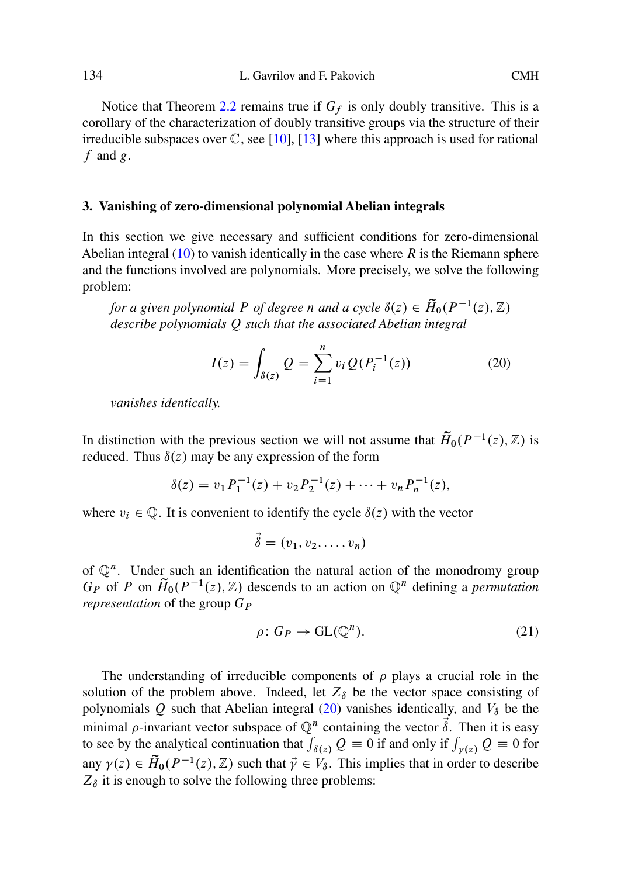Notice that T[heo](#page-4-0)rem 2.2 remains true if  $G_f$  is only doubly transitive. This is a corollary of the characterization of doubly transitive groups via the structure of their irreducible subspaces over  $\mathbb{C}$ , see [10], [13] where this approach is used for rational  $f$  and  $g$ .

#### **3. Vanishing of zero-dimensional polynomial Abelian integrals**

In this section we give necessary and sufficient conditions for zero-dimensional Abelian integral  $(10)$  to vanish identically in the case where R is the Riemann sphere and the functions involved are polynomials. More precisely, we solve the following problem:

*for a given polynomial* P *of degree* n *and a cycle*  $\delta(z) \in \widetilde{H}_0(P^{-1}(z), \mathbb{Z})$ *describe polynomials* Q *such that the associated Abelian integral*

$$
I(z) = \int_{\delta(z)} Q = \sum_{i=1}^{n} v_i Q(P_i^{-1}(z))
$$
 (20)

*vanishes identically.*

In distinction with the previous section we will not assume that  $\tilde{H}_0(P^{-1}(z), \mathbb{Z})$  is reduced. Thus  $\delta(z)$  may be any expression of the form

$$
\delta(z) = v_1 P_1^{-1}(z) + v_2 P_2^{-1}(z) + \dots + v_n P_n^{-1}(z),
$$

where  $v_i \in \mathbb{Q}$ . It is convenient to identify the cycle  $\delta(z)$  with the vector

$$
\vec{\delta}=(v_1,v_2,\ldots,v_n)
$$

of  $\mathbb{Q}^n$ . Under such an identification the natural action of the monodromy group  $G_P$  of P on  $\widetilde{H}_0(P^{-1}(z), \mathbb{Z})$  descends to an action on  $\mathbb{Q}^n$  defining a *permutation representation* of the group  $G_P$ 

$$
\rho: G_P \to \mathrm{GL}(\mathbb{Q}^n). \tag{21}
$$

The understanding of irreducible components of  $\rho$  plays a crucial role in the solution of the problem above. Indeed, let  $Z_{\delta}$  be the vector space consisting of polynomials Q such that Abelian integral (20) vanishes identically, and  $V_{\delta}$  be the minimal  $\rho$ -invariant vector subspace of  $\mathbb{Q}^n$  containing the vector  $\vec{\delta}$ . Then it is easy to see by the analytical continuation that  $\int_{\delta(z)} Q = 0$  if and only if  $\int_{\gamma(z)} Q = 0$  for any  $\gamma(z) \in \widetilde{H}_0(P^{-1}(z), \mathbb{Z})$  such that  $\vec{\gamma} \in V_\delta$ . This implies that in order to describe  $Z_s$  it is enough to solve the following three problems:  $Z_{\delta}$  it is enough to solve the following three problems:

<span id="page-9-0"></span>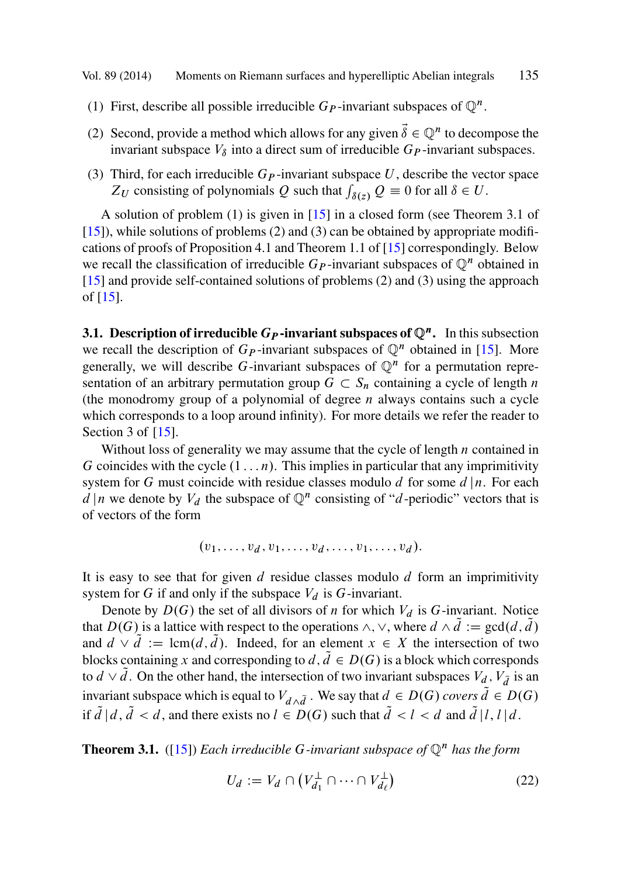<span id="page-10-0"></span>[Vol.](#page-30-0) 89 (2014) Moments on Riemann surfa[ces](#page-30-0) and hyperelliptic Abelian integrals 135

- (1) First, describe all possible irreducible  $G_P$ -invarian[t su](#page-30-0)bspaces of  $\mathbb{Q}^n$ .
- [\(2\)](#page-30-0) Second, provide a method which allows for any given  $\vec{\delta} \in \mathbb{Q}^n$  to decompose the [in](#page-30-0)variant subspace  $V_{\delta}$  into a direct sum of irreducible  $G_P$ -invariant subspaces.
- (3) Third, for each irreducible  $G_P$ -invariant subspace U, describe the vector space  $Z_U$  consisting of polynomials Q such that  $\int_{\delta(z)} Q = 0$  for all  $\delta \in U$ .

A solution of problem (1) is given in [15] in a closed form (see The[orem](#page-30-0) 3.1 of [15]), while solutions of problems (2) and (3) can be obtained by appropriate modifications of proofs of Proposition 4.1 and Theorem 1.1 of [15] correspondingly. Below we recall the classification of irreducible  $G_P$ -invariant subspaces of  $\mathbb{Q}^n$  obtained in [15] and prov[ide](#page-30-0) self-contained solutions of problems (2) and (3) using the approach of [15].

**3.1. Description of irreducible**  $G_P$ **-invariant subspaces of**  $\mathbb{Q}^n$ **.** In this subsection we recall the description of  $G_P$ -invariant subspaces of  $\mathbb{Q}^n$  obtained in [15]. More generally, we will describe G-invariant subspaces of  $\mathbb{Q}^n$  for a permutation representation of an arbitrary permutation group  $G \subset S_n$  containing a cycle of length *n* (the monodromy group of a polynomial of degree *n* always contains such a cycle (the monodromy group of a polynomial of degree  $n$  always contains such a cycle which corresponds to a loop around infinity). For more details we refer the reader to Section 3 of [15].

Without loss of generality we may assume that the cycle of length  $n$  contained in G coincides with the cycle  $(1 \dots n)$ . This implies in particular that any imprimitivity system for G must coincide with residue classes modulo d for some  $d | n$ . For each  $d \mid n$  we denote by  $V_d$  the subspace of  $\mathbb{Q}^n$  consisting of "d-periodic" vectors that is of vectors of the form

$$
(v_1,\ldots,v_d,v_1,\ldots,v_d,\ldots,v_1,\ldots,v_d).
$$

It is easy to see that for given  $d$  residue classes modulo  $d$  form an imprimitivity system for G if and only if the subspace  $V_d$  is G-invariant.

Denote by  $D(G)$  the set of all divisors of n for which  $V_d$  is G-invariant. Notice that  $D(G)$  is a lattice with respect to the operations  $\wedge$ ,  $\vee$ , where  $d \wedge \tilde{d} := \gcd(d, \tilde{d})$ and  $d \vee \tilde{d} := \text{lcm}(d, \tilde{d})$ . Indeed, for an element  $x \in X$  the intersection of two blocks containing x and corresponding to  $d, d \in D(G)$  is a block which corresponds to  $d \vee d$ . On the other hand, the intersection of two invariant subspaces  $V_d$ ,  $V_{\tilde{d}}$  is an invariant subspace which is equal to  $V_{d\wedge\tilde{d}}$ . We say that  $d \in D(G)$  *covers*  $\tilde{d} \in D(G)$ if  $d/d$ ,  $d < d$ , and there exists no  $l \in D(G)$  such that  $d < l < d$  and  $d | l, l | d$ .

**Theorem 3.1.** ([15]) *Each irreducible* G-invariant subspace of  $\mathbb{Q}^n$  *has the form* 

$$
U_d := V_d \cap \left( V_{d_1}^\perp \cap \dots \cap V_{d_\ell}^\perp \right) \tag{22}
$$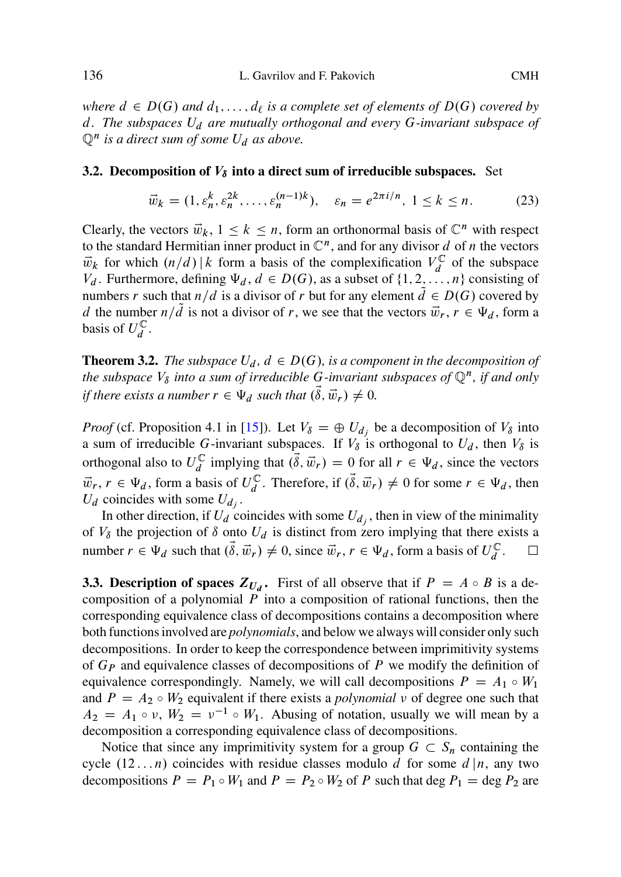*where*  $d \in D(G)$  *and*  $d_1, \ldots, d_\ell$  *is a complete set of elements of*  $D(G)$  *covered by* d*. The subspaces* U<sup>d</sup> *are mutually orthogonal and every* G*-invariant subspace of*  $\mathbb{Q}^n$  *is a direct sum of some*  $U_d$  *as above.* 

#### **3.2. Decomposition of**  $V_{\delta}$  **into a direct sum of irreducible subspaces.** Set

$$
\vec{w}_k = (1, \varepsilon_n^k, \varepsilon_n^{2k}, \dots, \varepsilon_n^{(n-1)k}), \quad \varepsilon_n = e^{2\pi i/n}, \ 1 \le k \le n. \tag{23}
$$

Clearly, the vectors  $\vec{w}_k$ ,  $1 \leq k \leq n$ , form an orthonormal basis of  $\mathbb{C}^n$  with respect to the standard Hermitian inner product in  $\mathbb{C}^n$ , and for any divisor d of n the vectors  $\vec{w}_k$  for which  $(n/d) | k$  form a basis of the complexification  $V_d^{\mathbb{C}}$  of the subspace  $V_t$ . Furthermore, defining  $\Psi_t$ ,  $d \in D(G)$  as a subset of  $i! 2$ ,  $n!$  consisting of  $V_d$  $V_d$ . Furthermore, defining  $\Psi_d$ ,  $d \in D(G)$ , as a subset of  $\{1, 2, ..., n\}$  consisting of numbers r such that  $n/d$  is a divisor of r but for any element  $d \in D(G)$  covered by d the number  $n/d$  is not a divisor of r, we see that the vectors  $\vec{w}_r$ ,  $r \in \Psi_d$ , form a basis of  $U_d^{\mathbb{C}}$ .

**Theorem 3.2.** *The subspace*  $U_d$ ,  $d \in D(G)$ *, is a component in the decomposition of the subspace*  $V_{\delta}$  *into a sum of irreducible G-invariant subspaces of*  $\mathbb{Q}^{n}$ *, if and only if there exists a number*  $r \in \Psi_d$  *such that*  $(\vec{\delta}, \vec{w}_r) \neq 0$ .

*Proof* (cf. Proposition 4.1 in [15]). Let  $V_{\delta} = \bigoplus U_{d_i}$  be a decomposition of  $V_{\delta}$  into a sum of irreducible G-invariant subspaces. If  $V_\delta$  is orthogonal to  $U_d$ , then  $V_\delta$  is orthogonal also to  $U_d^{\mathbb{C}}$  implying that  $(\hat{\delta}, \vec{w}_r) = 0$  for all  $r \in \Psi_d$ , since the vectors  $\vec{w}_r$ ,  $r \in \Psi_d$ , form a basis of  $U_d^{\mathbb{C}}$ . Therefore, if  $(\vec{\delta}, \vec{w}_r) \neq 0$  for some  $r \in \Psi_d$ , then  $U_t$  coincides with some  $U_t$ .  $U_d$  coincides with some  $U_{d_i}$ .

In other direction, if  $U_d$  coincides with some  $U_d$ , then in view of the minimality of  $V_{\delta}$  the projection of  $\delta$  onto  $U_{d}$  is distinct from zero implying that there exists a number  $r \in \Psi_d$  such that  $(\dot{\delta}, \vec{w}_r) \neq 0$ , since  $\vec{w}_r, r \in \Psi_d$ , form a basis of  $U_d^{\mathbb{C}}$ .  $\Box$  $\Box$ 

**3.3. Description of spaces**  $Z_{U_d}$ **.** First of all observe that if  $P = A \circ B$  is a decomposition of a polynomial  $\overline{P}$  into a composition of rational functions, then the corresponding equivalence class of decompositions contains a decomposition where both functions involved are *polynomials*, and below we always will consider only such decompositions. In order to keep the correspondence between imprimitivity systems of  $G_P$  and equivalence classes of decompositions of P we modify the definition of equivalence correspondingly. Namely, we will call decompositions  $P = A_1 \circ W_1$ and  $P = A_2 \circ W_2$  equivalent if there exists a *polynomial*  $\nu$  of degree one such that  $A_2 = A_1 \circ \nu$ ,  $W_2 = \nu^{-1} \circ W_1$ . Abusing of notation, usually we will mean by a decomposition a corresponding equivalence class of decompositions.

Notice that since any imprimitivity system for a group  $G \subset S_n$  containing the  $(12 - n)$  coincides with residue classes modulo d for some d  $\ln$  any two cycle  $(12 \dots n)$  coincides with residue classes modulo d for some  $d \mid n$ , any two decompositions  $P = P_1 \circ W_1$  and  $P = P_2 \circ W_2$  of P such that deg  $P_1 = \text{deg } P_2$  are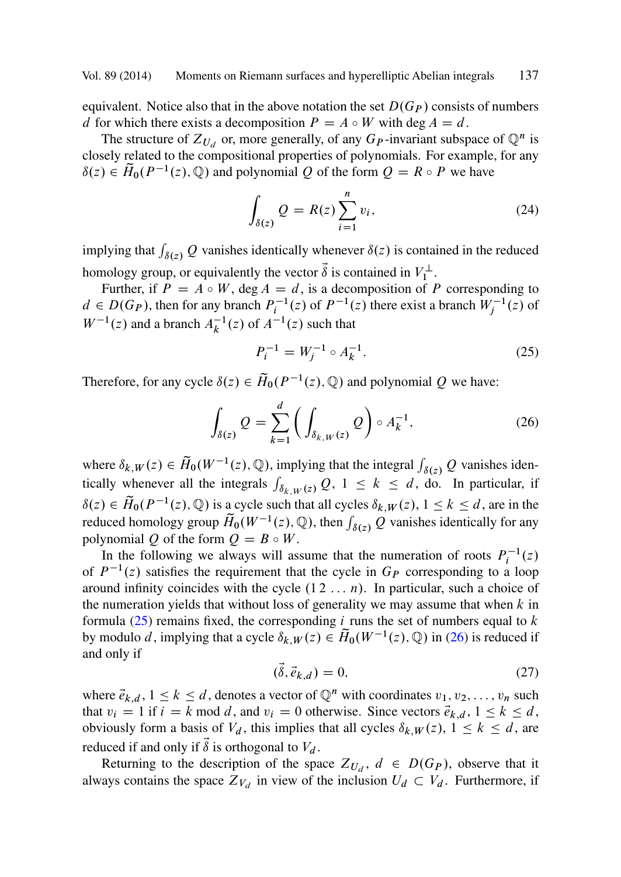equivalent. Notice also that in the above notation the set  $D(G_P)$  consists of numbers d for which there exists a decomposition  $P = A \circ W$  with deg  $A = d$ .

The structure of  $Z_{U_d}$  or, more generally, of any  $G_P$ -invariant subspace of  $\mathbb{Q}^n$  is closely related to the compositional properties of polynomials. For example, for any  $\delta(z) \in \widetilde{H}_0(P^{-1}(z), \mathbb{Q})$  and polynomial Q of the form  $Q = R \circ P$  we have

$$
\int_{\delta(z)} Q = R(z) \sum_{i=1}^{n} v_i,
$$
\n(24)

implying that  $\int_{\delta(z)} Q$  vanishes identically whenever  $\delta(z)$  is contained in the reduced homology group, or equivalently the vector  $\delta$  is contained in  $V_1^{\perp}$ .

Further, if  $P = A \circ W$ , deg  $A = d$ , is a decomposition of P corresponding to  $d \in D(G_P)$ , then for any branch  $P_i^{-1}(z)$  of  $P^{-1}(z)$  there exist a branch  $W_j^{-1}(z)$  of  $W^{-1}(z)$  and a branch  $A^{-1}(z)$  of  $A^{-1}(z)$  and that  $W^{-1}(z)$  and a branch  $A_k^{-1}(z)$  of  $A^{-1}(z)$  such that

$$
P_i^{-1} = W_j^{-1} \circ A_k^{-1}.
$$
 (25)

Therefore, for any cycle  $\delta(z) \in \widetilde{H}_0(P^{-1}(z), \mathbb{Q})$  and polynomial Q we have:

$$
\int_{\delta(z)} Q = \sum_{k=1}^d \left( \int_{\delta_{k,W}(z)} Q \right) \circ A_k^{-1},\tag{26}
$$

where  $\delta_{k,W}(z) \in \tilde{H}_0(W^{-1}(z), \mathbb{Q})$ , implying that the integral  $\int_{\delta(z)} Q$  vanishes identically whenever all the integrals  $\int_{\mathbb{Q}} Q(z) dz \leq \delta_{k,z} \int_{\mathbb{Q}} Q(z)$  is particular, if tically whenever all the integrals  $\int_{\delta_{k,W}(z)} Q$ ,  $1 \le k \le d$ , do. In particular, if  $\delta(z) \in \widetilde{H}_0(P^{-1}(z), \mathbb{Q})$  is a cycle such that all cycles  $\delta_{k,W}(z), 1 \leq k \leq d$ , are in the reduced homology group  $\widetilde{H}_0(W^{-1}(z), \mathbb{Q})$ , then  $\int_{\delta(z)} Q$  vanishes identically for any polynomial Q of the form  $Q = B \circ W$ .

In the following we always will assume that the numeration of roots  $P_i^{-1}(z)$ of  $P^{-1}(z)$  satisfies the requirement that the cycle in  $G_P$  corresponding to a loop around infinity coincides with the cycle  $(1 2 ... n)$ . In particular, such a choice of the numeration yields that without loss of generality we may assume that when  $k$  in formula  $(25)$  remains fixed, the corresponding *i* runs the set of numbers equal to k by modulo d, implying that a cycle  $\delta_{k,W}(z) \in \widetilde{H}_0(W^{-1}(z), \mathbb{Q})$  in (26) is reduced if and only if

$$
(\dot{\delta}, \vec{e}_{k,d}) = 0,\tag{27}
$$

where  $\vec{e}_{k,d}$ ,  $1 \le k \le d$ , denotes a vector of  $\mathbb{Q}^n$  with coordinates  $v_1, v_2, \ldots, v_n$  such that  $v_1 = 1$  if  $i = k$  mod  $d$ , and  $v_1 = 0$  otherwise. Since vectors  $\vec{e}_{k,1}$ ,  $1 \le k \le d$ that  $v_i = 1$  if  $i = k \mod d$ , and  $v_i = 0$  otherwise. Since vectors  $\vec{e}_{k,d}$ ,  $1 \le k \le d$ , obviously form a basis of  $V_d$ , this implies that all cycles  $\delta_{k,W}(z)$ ,  $1 \leq k \leq d$ , are reduced if and only if  $\delta$  is orthogonal to  $V_d$ .

Returning to the description of the space  $Z_{U_d}$ ,  $d \in D(G_P)$ , observe that it always contains the space  $Z_{V_d}$  in view of the inclusion  $U_d \subset V_d$ . Furthermore, if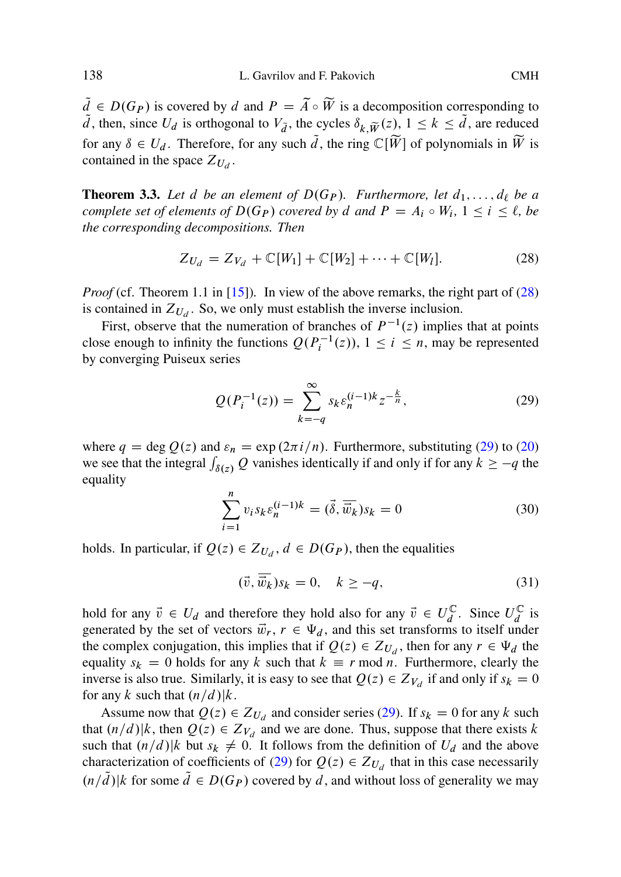$d \in D(G_P)$  is covered by d and  $P = A \circ W$  is a decomposition corresponding to  $\tilde{d}$  then since  $U_i$  is orthogonal to  $V_{\tilde{e}}$  the cycles  $\delta \sim (\tilde{e}_i) \cdot 1 \leq k \leq \tilde{d}$  are reduced d, then, since  $U_d$  is orthogonal to  $V_{\tilde{d}}$ , the cycles  $\delta_{k,\tilde{W}}(z)$ ,  $1 \leq k \leq d$ , are reduced for any  $\delta \in U_d$ . Therefor[e, fo](#page-30-0)r any such  $\tilde{d}$ , the ring  $\mathbb{C}[\widetilde{W}]$  of polynomials in  $\widetilde{W}$  is contained in the space  $Z_{U_d}$ .

**Theorem 3.3.** Let d be an element of  $D(G_P)$ . Furthermore, let  $d_1, \ldots, d_\ell$  be a *complete set of elements of*  $D(G_P)$  *covered by* d and  $P = A_i \circ W_i$ ,  $1 \le i \le \ell$ , be *the corresponding decompositions. Then*

$$
Z_{U_d} = Z_{V_d} + \mathbb{C}[W_1] + \mathbb{C}[W_2] + \dots + \mathbb{C}[W_l].
$$
 (28)

*Proof* (cf. Theorem 1.1 in [15]). In view of the above remarks, the right part of [\(28\)](#page-9-0) is contained in  $Z_{U_d}$ . So, we only must establish the inverse inclusion.

First, observe that the numeration of branches of  $P^{-1}(z)$  implies that at points close enough to infinity the functions  $Q(P_i^{-1}(z))$ ,  $1 \le i \le n$ , may be represented<br>by converging Puiseux series by converging Puiseux series

$$
Q(P_i^{-1}(z)) = \sum_{k=-q}^{\infty} s_k \varepsilon_n^{(i-1)k} z^{-\frac{k}{n}},
$$
\n(29)

where  $q = \deg Q(z)$  and  $\varepsilon_n = \exp(2\pi i/n)$ . Furthermore, substituting (29) to (20) we see that the integral  $\int_{\delta(z)} Q$  vanishes identically if and only if for any  $k \ge -q$  the equality

$$
\sum_{i=1}^{n} v_i s_k \varepsilon_n^{(i-1)k} = (\vec{\delta}, \overline{\vec{w}_k}) s_k = 0
$$
\n(30)

holds. In particular, if  $Q(z) \in Z_{U_d}$ ,  $d \in D(G_P)$ , then the equalities

$$
(\vec{v}, \vec{w}_k) s_k = 0, \quad k \ge -q,
$$
\n(31)

hold for any  $\vec{v} \in U_d$  and therefore they hold also for any  $\vec{v} \in U_d^C$ . Since  $U_d^C$  is generated by the set of vectors  $\vec{w} \cdot \vec{r} \in \Psi$ , and this set transforms to itself under generated by the set of vectors  $\vec{w}_r$ ,  $r \in \Psi_d$ , and this set transforms to itself under the complex conjugation, this implies that if  $Q(z) \in Z_{U_d}$ , then for any  $r \in \Psi_d$  the equality  $s_k = 0$  holds for any k such that  $k \equiv r \mod n$ . Furthermore, clearly the inverse is also true. Similarly, it is easy to see that  $Q(z) \in Z_{V_d}$  if and only if  $s_k = 0$ for any k such that  $\left(\frac{n}{d}\right)|k$ .

Assume now that  $Q(z) \in Z_{U_d}$  and consider series (29). If  $s_k = 0$  for any k such that  $(n/d)|k$ , then  $Q(z) \in Z_{V_d}$  and we are done. Thus, suppose that there exists k such that  $\left(\frac{n}{d}\right)|k$  but  $s_k \neq 0$ . It follows from the definition of  $U_d$  and the above characterization of coefficients of (29) for  $Q(z) \in Z_{U_d}$  that in this case necessarily  $(n/\tilde{d})$  k for some  $\tilde{d} \in D(G_P)$  covered by d, and without loss of generality we may

<span id="page-13-0"></span>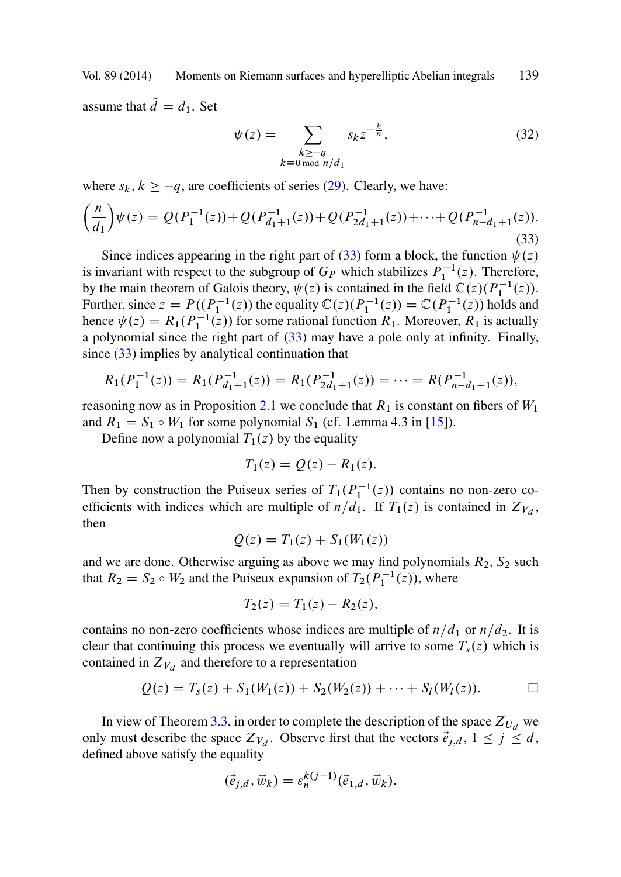<span id="page-14-0"></span>assume that  $\tilde{d} = d_1$ . Set

$$
\psi(z) = \sum_{\substack{k \ge -q\\ k \equiv 0 \bmod n/d_1}} s_k z^{-\frac{k}{n}},\tag{32}
$$

where  $s_k$ ,  $k \ge -q$ , are coefficients of series (29). Clearly, we have:

$$
\left(\frac{n}{d_1}\right)\psi(z) = Q(P_1^{-1}(z)) + Q(P_{d_1+1}^{-1}(z)) + Q(P_{2d_1+1}^{-1}(z)) + \dots + Q(P_{n-d_1+1}^{-1}(z)).
$$
\n(33)

Since indices appearing in t[he rig](#page-7-0)ht part of (33) form a block, the function  $\psi(z)$ is invariant with respect to the subgroup of  $G_P$  $G_P$  which stabilizes  $P_1^{-1}(z)$ . Therefore, by the main theorem of Galois theory,  $\psi(z)$  is contained in the field  $\mathbb{C}(z)(P_1^{-1}(z))$ . Further, since  $z = P((P_1^{-1}(z))$  the equality  $\mathbb{C}(z)(P_1^{-1}(z)) = \mathbb{C}(P_1^{-1}(z))$  holds and<br>hence  $y(z) = R_1(P_1^{-1}(z))$  for some rational function  $R_1$ . Moreover,  $R_2$  is actually hence  $\psi(z) = R_1(P_1^{-1}(z))$  for some rational function  $R_1$ . Moreover,  $R_1$  is actually a polynomial since the right part of (33) may have a pole only at infinity. Finally, since (33) implies by analytical continuation that

$$
R_1(P_1^{-1}(z)) = R_1(P_{d_1+1}^{-1}(z)) = R_1(P_{2d_1+1}^{-1}(z)) = \dots = R(P_{n-d_1+1}^{-1}(z)),
$$

reasoning now as in Proposition 2.1 we conclude that  $R_1$  is constant on fibers of  $W_1$ and  $R_1 = S_1 \circ W_1$  for some polynomial  $S_1$  (cf. Lemma 4.3 in [15]).

Define now a polynomial  $T_1(z)$  by the equality

$$
T_1(z) = Q(z) - R_1(z).
$$

Then by construction the Puiseux series of  $T_1(P_1^{-1}(z))$  contains no non-zero coefficients with indices which are multiple of  $n/d_1$ . If  $T_1(z)$  is contained in  $Z_{V_d}$ , then

$$
Q(z) = T_1(z) + S_1(W_1(z))
$$

and we are done. Otherwise arguing as above we may find polynomials  $R_2$ ,  $S_2$  such that  $R_2 = S_2 \circ W_2$  and [the](#page-13-0) Puiseux expansion of  $T_2(P_1^{-1}(z))$ , where

$$
T_2(z) = T_1(z) - R_2(z),
$$

contains no non-zero coefficients whose indices are multiple of  $n/d_1$  or  $n/d_2$ . It is clear that continuing this process we eventually will arrive to some  $T_s(z)$  which is contained in  $Z_{V_d}$  and therefore to a representation

$$
Q(z) = T_s(z) + S_1(W_1(z)) + S_2(W_2(z)) + \cdots + S_l(W_l(z)). \qquad \Box
$$

In view of Theorem 3.3, in order to complete the description of the space  $Z_{U_d}$  we only must describe the space  $Z_{V_d}$ . Observe first that the vectors  $\vec{e}_{j,d}$ ,  $1 \leq j \leq d$ , defined above satisfy the equality

$$
(\vec{e}_{j,d}, \vec{w}_k) = \varepsilon_n^{k(j-1)}(\vec{e}_{1,d}, \vec{w}_k).
$$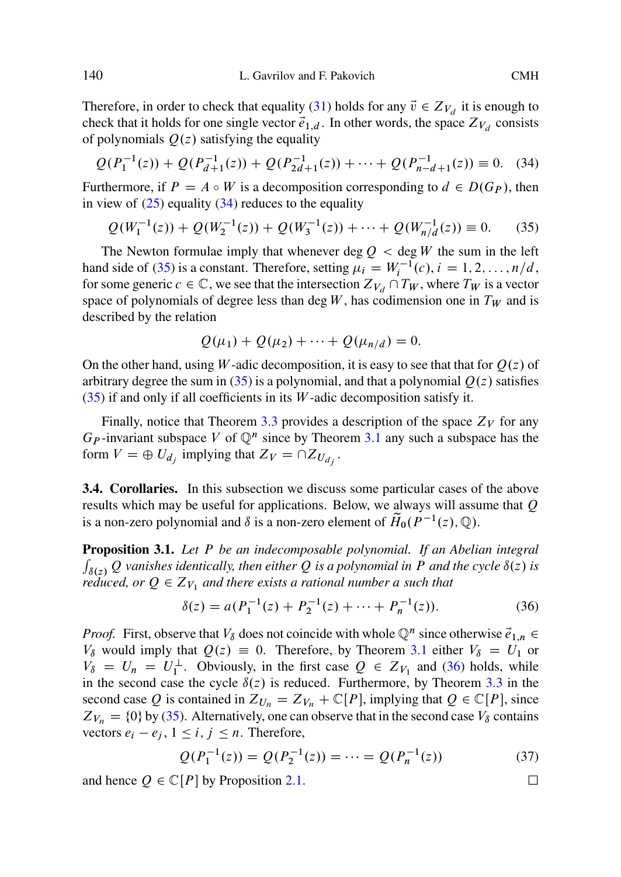Therefore, in order to check that equality (31) holds for any  $\vec{v} \in Z_{V_d}$  it is enough to check that it holds for one single vector  $\vec{e}_{1,d}$ . In other words, the space  $Z_{V_d}$  consists of polynomials  $Q(z)$  satisfying the equality

$$
Q(P_1^{-1}(z)) + Q(P_{d+1}^{-1}(z)) + Q(P_{2d+1}^{-1}(z)) + \dots + Q(P_{n-d+1}^{-1}(z)) \equiv 0. \tag{34}
$$

Furthermore, if  $P = A \circ W$  is a decomposition corresponding to  $d \in D(G_P)$ , then in view of  $(25)$  equality  $(34)$  reduces to the equality

$$
Q(W_1^{-1}(z)) + Q(W_2^{-1}(z)) + Q(W_3^{-1}(z)) + \dots + Q(W_{n/d}^{-1}(z)) \equiv 0.
$$
 (35)

The Newton formulae imply that whenever deg  $Q <$  deg W the sum in the left hand side of (35) is a constant. Therefore, setting  $\mu_i = W_i^{-1}(c)$ ,  $i = 1, 2, ..., n/d$ , for some generic  $c \in \mathbb{C}$ , we see that the intersection  $Z_{\mathcal{U}} \cap T_{\mathcal{U}}$ , where  $T_{\mathcal{U}}$  is a vector for some generic  $c \in \mathbb{C}$  $c \in \mathbb{C}$  $c \in \mathbb{C}$ , we see t[hat](#page-13-0) the intersection  $Z_{V_d} \cap T_W$ , where  $T_W$  is a vector space of polynomials of degree less than deg  $W$ , h[as](#page-10-0) [co](#page-10-0)dimension one in  $T_W$  and is described by the relation

$$
Q(\mu_1) + Q(\mu_2) + \cdots + Q(\mu_{n/d}) = 0.
$$

On the other hand, using W-adic decomposition, it is easy to see that that for  $Q(z)$  of arbitrary degree the sum in (35) is a polynomial, and that a polynomial  $Q(z)$  satisfies  $(35)$  if and only if all coefficients in its W-adic decomposition satisfy it.

Finally, notice that Theorem 3.3 provides a description of the space  $Z_V$  for any  $G_P$ -invariant subspace V of  $\mathbb{Q}^n$  since by Theorem 3.1 any such a subspace has the form  $V = \bigoplus U_{d_i}$  implying that  $Z_V = \bigcap Z_{U_{d_i}}$ .

**3.4. Corollaries.** In this subsection we discuss some particular cases of the above results which may be useful for applications. Below, we al[ways](#page-10-0) will assume that  $Q$ is a non-zero polynomial and  $\delta$  is a non-zero element of  $\widetilde{H}_0(P^{-1}(z), \mathbb{Q})$ .

**Proposition 3.1.** *Let* P *be an indecomposable polynomial. If an Abeli[an](#page-13-0) [in](#page-13-0)tegral*  $\int_{\delta(z)} Q$  *vanishes identically, then either* Q *is a polynomial in* P *and the cycle*  $\delta(z)$  *is reduced, or*  $Q \in Z_{V_1}$  *and there exists a rational number a such that* 

$$
\delta(z) = a(P_1^{-1}(z) + P_2^{-1}(z) + \dots + P_n^{-1}(z)).
$$
\n(36)

*Proof.* First, observe that  $V_{\delta}$  does not [coin](#page-7-0)cide with whole  $\mathbb{Q}^n$  since otherwise  $\vec{e}_{1,n}$  $V_\delta$  would imply that  $Q(z) \equiv 0$ . Therefore, by Theorem 3.1 either  $V_\delta = U_1$  or  $V_{\delta} = U_n = U_1^{\perp}$ . Obviously, in the first case  $Q \in Z_{V_1}$  and (36) holds, while in the second case the cycle  $\delta(z)$  is reduced. Furthermore, by Theorem 3.3 in the second case Q is contained in  $Z_{U_n} = Z_{V_n} + \mathbb{C}[P]$ , implying that  $Q \in \mathbb{C}[P]$ , since  $Z_{V_n} = \{0\}$  by (35). Alternatively, one can observe that in the second case  $V_\delta$  contains vectors  $e_i - e_j$ ,  $1 \le i, j \le n$ . Therefore,

$$
Q(P_1^{-1}(z)) = Q(P_2^{-1}(z)) = \dots = Q(P_n^{-1}(z))
$$
\n(37)

and hence  $Q \in \mathbb{C}[P]$  by Proposition 2.1.  $\Box$ 

<span id="page-15-0"></span>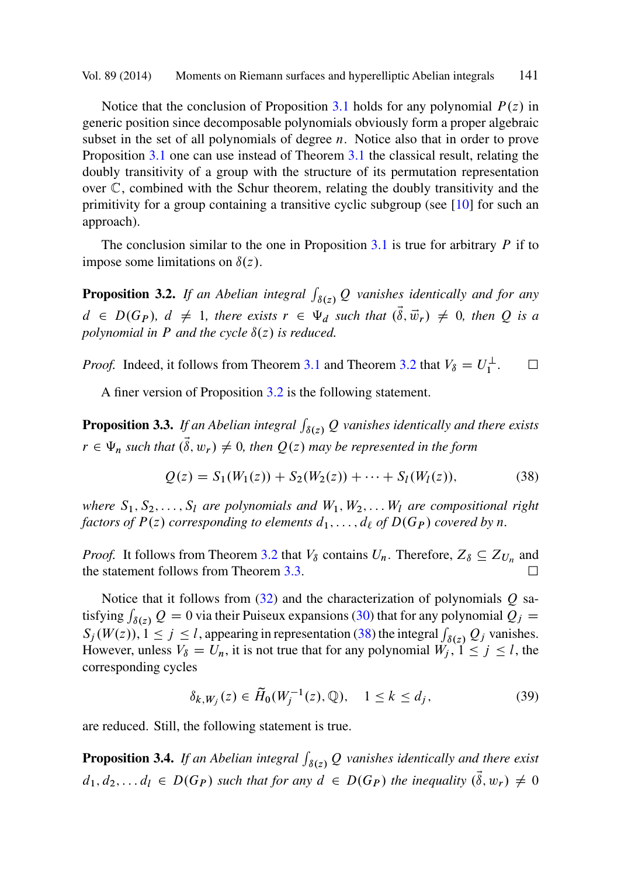<span id="page-16-0"></span>Notice that the conclusion of Proposition 3.1 ho[lds](#page-15-0) [f](#page-15-0)or any polynomial  $P(z)$  in generic position since decomposable polynomials obviously form a proper algebraic subset in the set of all polynomials of degree  $n$ . Notice also that in order to prove Proposition 3.1 one can use instead of Theorem 3.1 the classical result, relating the doubly transitivity of a group with the structure of its permutation representation over C, combined with the Schur theorem, relating the doubly transitivity and the primitivity for a group containing a transitive cyclic subgroup (see [10] for such an approach).

The conclusion similar to the one in Proposition  $3.1$  is true for arbitrary  $P$  if to impose some limitations on  $\delta(z)$ .

**Proposition 3.2.** If an Abelian integral  $\int_{\delta(z)} Q$  vanishes identically and for any  $d \in D(G_P)$ ,  $d \neq 1$ , there exists  $r \in \Psi_d$  such that  $(\vec{\delta}, \vec{w}_r) \neq 0$ , then Q is a *polynomial in*  $P$  *and the cycle*  $\delta(z)$  *is reduced.* 

*Proof.* Indeed, it follows from Theorem 3.1 and Theorem 3.2 that  $V_{\delta} = U_1^{\perp}$ .  $\Box$  $\Box$ 

A finer version of Proposition 3.2 is the following statement.

**Proposition 3.3.** If an Abelian integ[ral](#page-13-0)  $\int_{\delta(z)} Q$  vanishes identically and there exists  $r \in \Psi_n$  such that  $(\vec{\delta}, w_r) \neq 0$ , t[hen](#page-14-0)  $Q(z)$  may be represented in the form

$$
Q(z) = S_1(W_1(z)) + S_2(W_2(z)) + \dots + S_l(W_l(z)),
$$
\n(38)

*where*  $S_1, S_2, \ldots, S_l$  *are polynomials and*  $W_1, W_2, \ldots, W_l$  *are compositional right factors of*  $P(z)$  *corresponding to elements*  $d_1, \ldots, d_\ell$  *of*  $D(G_P)$  *covered by n*.

*Proof.* It follows from Theorem 3.2 that  $V_\delta$  contains  $U_n$ . Therefore,  $Z_\delta \subseteq Z_{U_n}$  and the statement follows from Theorem 3.3.

Notice that it follows from  $(32)$  and the characterization of polynomials  $Q$  satisfying  $\int_{\delta(z)} Q = 0$  via their Puiseux expansions (30) that for any polynomial  $\overline{Q}_j = S_{(W(z))}$   $1 \leq i \leq l$  expressions in representation (38) the integral  $\overline{Q}_j$  or verighes  $S_j(W(z)), 1 \le j \le l$ , appearing in representation (38) the integral  $\int_{\delta(z)} Q_j$  vanishes.<br>However, unless  $V_s - U$  it is not true that for any polynomial  $W_s, 1 \le i \le l$  the However, unless  $V_{\delta} = U_n$ , it is not true that for any polynomial  $W_j$ ,  $1 \le j \le l$ , the corresponding cycles

$$
\delta_{k,W_j}(z) \in \widetilde{H}_0(W_j^{-1}(z), \mathbb{Q}), \quad 1 \le k \le d_j,
$$
 (39)

are reduced. Still, the following statement is true.

**Proposition 3.4.** If an Abelian integral  $\int_{\delta(z)} Q$  vanishes identically and there exist  $d_1, d_2,..., d_l \in D(G_P)$  such that for any  $d \in D(G_P)$  the inequality  $(\tilde{\delta}, w_r) \neq 0$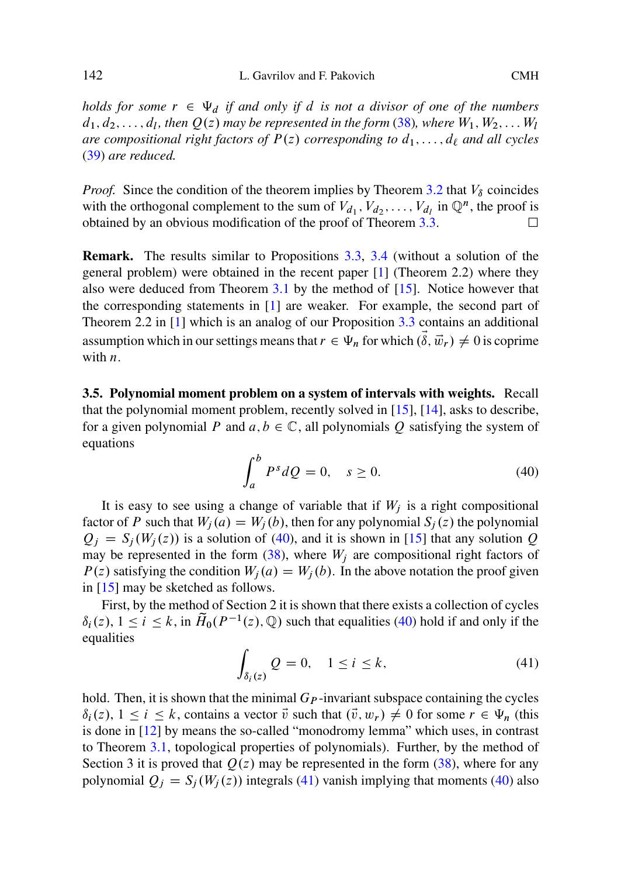*holds for some*  $r \in \Psi_d$  *if and only if d is n[ot a divi](#page-16-0)sor of one of the numbers*  $d_1, d_2, \ldots, d_l$ , then  $Q(z)$  may be represented in the fo[rm](#page-29-0) (38), where  $W_1, W_2, \ldots, W_l$ *are compositional right factors of*  $P(z)$  *correspon[d](#page-30-0)ing to*  $d_1, \ldots, d_\ell$  *and all cycles* (39) *are reduced.*

*Proof.* Sinc[e](#page-29-0) the [co](#page-29-0)ndition of the the[orem](#page-16-0) implies by Theorem 3.2 that  $V_{\delta}$  coincides with the orthogonal complement to the sum of  $V_{d_1}, V_{d_2}, \ldots, V_{d_l}$  in  $\mathbb{Q}^n$ , the proof is obtained by an obvious modification of the proof of Theorem 3.3. -

**Remark.** The results similar to Propositions 3.3, 3.4 (without a solution of the general problem) were obtained in the recent paper [1] [\(Th](#page-30-0)e[orem](#page-30-0) 2.2) where they also were deduced from Theorem  $3.1$  by the method of  $[15]$ . Notice however that the corresponding statements in [1] are weaker. For example, the second part of Theorem 2.2 in [1] which is an analog of our Proposition 3.3 contains an additional assumption which in our settings means that  $r \in \Psi_n$  for which  $(\vec{\delta}, \vec{w}_r) \neq 0$  is coprime with  $n$ .

**3.5. Polynomial moment problem on a system of interva[ls w](#page-30-0)ith weights.** Recall that the polynomial moment prob[lem](#page-16-0), recently solved in [15], [14], asks to describe, for a given polynomial P and  $a, b \in \mathbb{C}$ , all polynomials O satisfying the system of eq[uatio](#page-30-0)ns

$$
\int_{a}^{b} P^{s} dQ = 0, \quad s \ge 0.
$$
\n(40)

It is easy to see using a change of variable that if  $W_j$  is a right compositional factor of P such that  $W_j(a) = W_j(b)$ , then for any polynomial  $S_j(z)$  the polynomial  $Q_i = S_i(W_i(z))$  is a solution of (40), and it is shown in [15] that any solution Q may be represented in the form  $(38)$ , where  $W_i$  are compositional right factors of  $P(z)$  satisfying the condition  $W_j(a) = W_j(b)$ . In the above notation the proof given in [15] ma[y be](#page-30-0) sketched as follows.

First, by [the m](#page-10-0)ethod of Section 2 it is shown that there exists a collection of cycles  $\delta_i(z)$ ,  $1 \le i \le k$ , in  $\widetilde{H}_0(P^{-1}(z), \mathbb{Q})$  such that equalities (40) ho[ld if](#page-16-0) and only if the equalities

$$
\int_{\delta_i(z)} Q = 0, \quad 1 \le i \le k,
$$
\n(41)

hold. Then, it is shown that the minimal  $G_P$ -invariant subspace containing the cycles  $\delta_i(z)$ ,  $1 \le i \le k$ , contains a vector  $\vec{v}$  such that  $(\vec{v}, w_r) \neq 0$  for some  $r \in \Psi_n$  (this is done in [12] by means the so-called "monodromy lemma" which uses, in contrast to Theorem 3.1, topological properties of polynomials). Further, by the method of Section 3 it is proved that  $Q(z)$  may be represented in the form (38), where for any polynomial  $Q_j = S_j (W_j (z))$  integrals (41) vanish implying that moments (40) also

<span id="page-17-0"></span>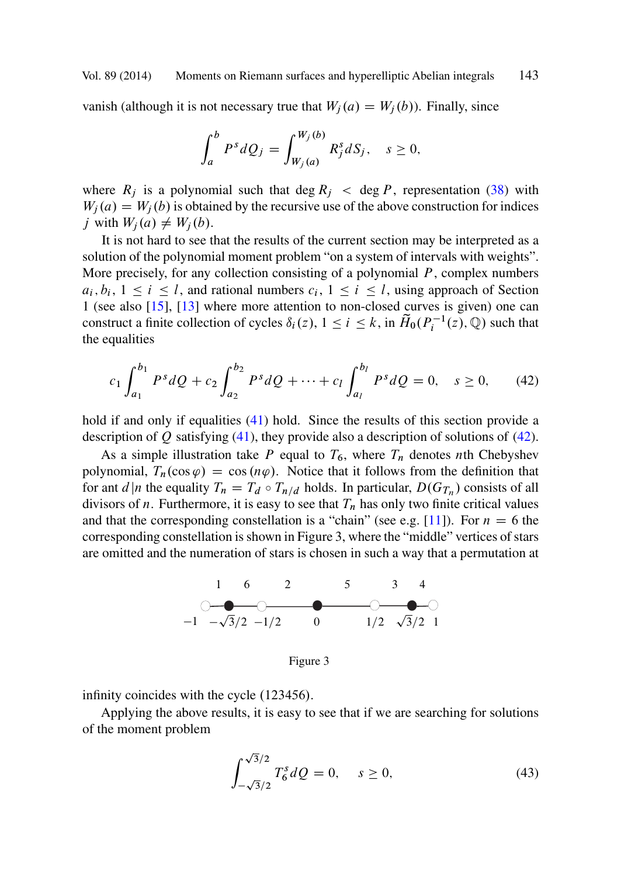<span id="page-18-0"></span>vanish (although it is not necessary true that  $W_i(a) = W_i(b)$ ). Finally, since

$$
\int_a^b P^s dQ_j = \int_{W_j(a)}^{W_j(b)} R_j^s dS_j, \quad s \ge 0,
$$

where  $R_j$  is a polynomial such that deg  $R_j <$  deg P, representation (38) with  $W_j(a) = W_j(b)$  is obtained by the recursive use of the above construction for indices j with  $W_j(a) \neq W_j(b)$ .

It is not hard to see that the results of the current section may be interpreted as a solution of the polynomial moment problem "on a system of intervals with weights". More precisely, for any collec[tion](#page-17-0) consisting of a polynomial  $P$ , complex numbers  $a_i, b_i, 1 \le i \le l$ , and rati[onal](#page-17-0) numbers  $c_i, 1 \le i \le l$ , using approach of Section 1 (see also [15], [13] where more attention to non-closed curves is given) one can construct a finite collection of cycles  $\delta_i(z)$ ,  $1 \le i \le k$ , in  $\tilde{H}_0(P_i^{-1}(z), \mathbb{Q})$  such that the equalities the equalities

$$
c_1 \int_{a_1}^{b_1} P^s dQ + c_2 \int_{a_2}^{b_2} P^s dQ + \dots + c_l \int_{a_l}^{b_l} P^s dQ = 0, \quad s \ge 0,
$$
 (42)

hold if and only if equalities (41) hold. Since the results of this section provide a description of  $Q$  satisfying (41), they provide also a description of solutions of (42).

As a simple illustration take P equal to  $T_6$ , where  $T_n$  denotes nth Chebyshev polynomial,  $T_n(\cos \varphi) = \cos(n\varphi)$ . Notice that it follows from the definition that for ant d|n the equality  $T_n = T_d \circ T_{n/d}$  holds. In particular,  $D(G_{T_n})$  consists of all divisors of *n*. Furthermore, it is easy to see that  $T_n$  has only two finite critical values and that the corresponding constellation is a "chain" (see e.g. [11]). For  $n = 6$  the corresponding constellation is shown in Figure 3, where the "middle" vertices of stars are omitted and the numeration of stars is chosen in such a way that a permutation at



Figure 3

infinity coincides with the cycle  $(123456)$ .

Applying the above results, it is easy to see that if we are searching for solutions of the moment problem

$$
\int_{-\sqrt{3}/2}^{\sqrt{3}/2} T_6^s dQ = 0, \quad s \ge 0,
$$
\n(43)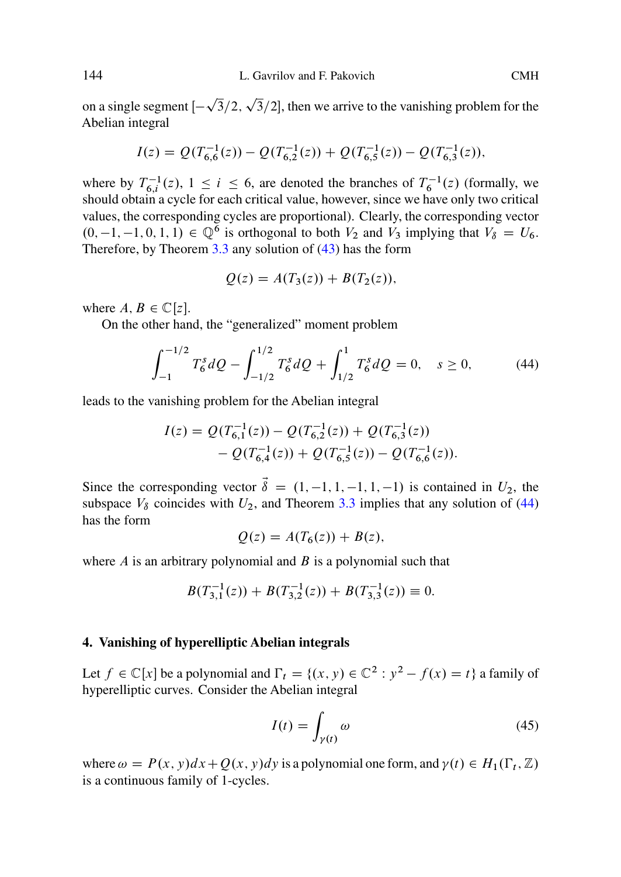on a single segment  $[-\sqrt{3}/2, \sqrt{3}/2]$ , then [we a](#page-18-0)rrive to the vanishing problem for the Abelian integral Abelian integral

$$
I(z) = Q(T_{6,6}^{-1}(z)) - Q(T_{6,2}^{-1}(z)) + Q(T_{6,5}^{-1}(z)) - Q(T_{6,3}^{-1}(z)),
$$

where by  $T_{6,i}^{-1}(z)$ ,  $1 \le i \le 6$ , are denoted the branches of  $T_6^{-1}(z)$  (formally, we should obtain a cycle for each critical value, however, since we have only two critical should obtain a cycle for each critical value, however, since we have only two critical values, the corresponding cycles are proportional). Clearly, the corresponding vector  $(0, -1, -1, 0, 1, 1) \in \mathbb{Q}^6$  is orthogonal to both  $V_2$  and  $V_3$  implying that  $V_8 = U_6$ . Therefore, by Theorem 3.3 any solution of (43) has the form

$$
Q(z) = A(T_3(z)) + B(T_2(z)),
$$

where  $A, B \in \mathbb{C}[z]$ .

On the other hand, the "generalized" moment problem

$$
\int_{-1}^{-1/2} T_6^s dQ - \int_{-1/2}^{1/2} T_6^s dQ + \int_{1/2}^1 T_6^s dQ = 0, \quad s \ge 0,
$$
 (44)

leads to the vanishing problem for the Abelian integral

$$
I(z) = Q(T_{6,1}^{-1}(z)) - Q(T_{6,2}^{-1}(z)) + Q(T_{6,3}^{-1}(z)) - Q(T_{6,4}^{-1}(z)) + Q(T_{6,5}^{-1}(z)) - Q(T_{6,6}^{-1}(z)).
$$

Since the corresponding vector  $\vec{\delta} = (1, -1, 1, -1, 1, -1)$  is contained in  $U_2$ , the subspace  $V_8$  coincides with  $U_2$ , and Theorem 3.3 implies that any solution of (44) has the form

$$
Q(z) = A(T_6(z)) + B(z),
$$

where  $\vec{A}$  is an arbitrary polynomial and  $\vec{B}$  is a polynomial such that

$$
B(T_{3,1}^{-1}(z)) + B(T_{3,2}^{-1}(z)) + B(T_{3,3}^{-1}(z)) \equiv 0.
$$

## **4. Vanishing of hyperelliptic Abelian integrals**

Let  $f \in \mathbb{C}[x]$  be a polynomial and  $\Gamma_t = \{(x, y) \in \mathbb{C}^2 : y^2 - f(x) = t\}$  a family of hyperelliptic curves. Consider the Abelian integral

$$
I(t) = \int_{\gamma(t)} \omega \tag{45}
$$

where  $\omega = P(x, y)dx + Q(x, y)dy$  is a polynomial one form, and  $\gamma(t) \in H_1(\Gamma_t, \mathbb{Z})$ <br>is a continuous family of 1-cycles is a continuous family of 1-cycles.

<span id="page-19-0"></span>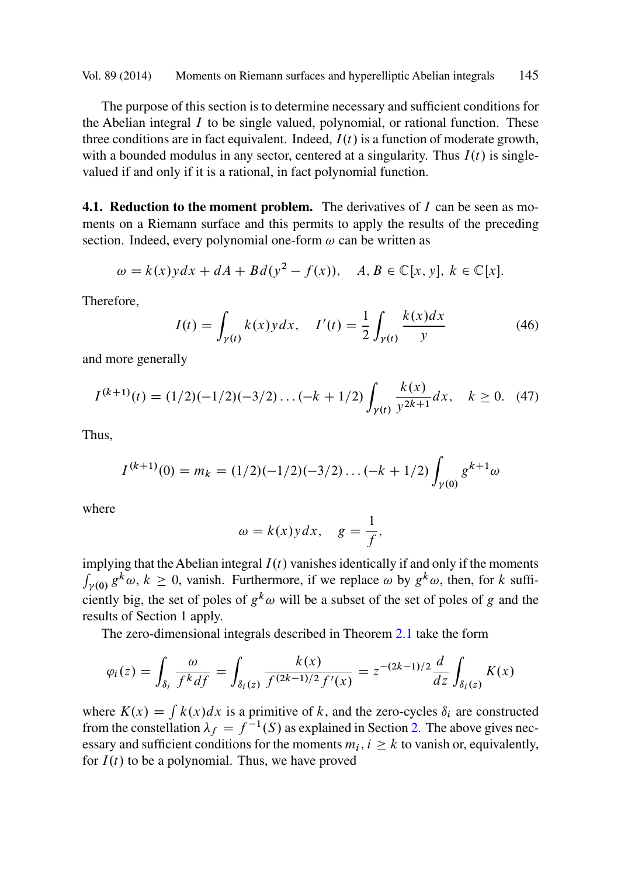<span id="page-20-0"></span>The purpose of this section is to determine necessary and sufficient conditions for the Abelian integral  $I$  to be single valued, polynomial, or rational function. These three conditions are in fact equivalent. Indeed,  $I(t)$  is a function of moderate growth, with a bounded modulus in any sector, centered at a singularity. Thus  $I(t)$  is singlevalued if and only if it is a rational, in fact polynomial function.

**4.1. Reduction to the moment problem.** The derivatives of I can be seen as moments on a Riemann surface and this permits to apply the results of the preceding section. Indeed, every polynomial one-form  $\omega$  can be written as

$$
\omega = k(x) y dx + dA + Bd(y^2 - f(x)), \quad A, B \in \mathbb{C}[x, y], k \in \mathbb{C}[x].
$$

Therefore,

$$
I(t) = \int_{\gamma(t)} k(x) y dx, \quad I'(t) = \frac{1}{2} \int_{\gamma(t)} \frac{k(x) dx}{y}
$$
(46)

and more generally

$$
I^{(k+1)}(t) = (1/2)(-1/2)(-3/2)\dots(-k+1/2)\int_{\gamma(t)}\frac{k(x)}{y^{2k+1}}dx, \quad k \ge 0. \tag{47}
$$

Thus,

$$
I^{(k+1)}(0) = m_k = (1/2)(-1/2)(-3/2)\dots(-k+1/2)\int_{\gamma(0)} g^{k+1}\omega
$$

where

$$
\omega = k(x) y dx, \quad g = \frac{1}{f},
$$

implying that the Abelian integral  $I(t)$  vanishes identically if and only if the moments  $\int_{\gamma(0)} g^k \omega, k \ge 0$  $\int_{\gamma(0)} g^k \omega, k \ge 0$  $\int_{\gamma(0)} g^k \omega, k \ge 0$ , vanish. Furthermore, if we replace  $\omega$  by  $g^k \omega$ , then, for k sufficiently big, the set of poles of  $g^k \omega$  will be a subset of the set of poles of g and the results of Section 1 apply.

The zero-dimensional integrals described in Theorem 2.1 take the form

$$
\varphi_i(z) = \int_{\delta_i} \frac{\omega}{f^k df} = \int_{\delta_i(z)} \frac{k(x)}{f^{(2k-1)/2} f'(x)} = z^{-(2k-1)/2} \frac{d}{dz} \int_{\delta_i(z)} K(x)
$$

where  $K(x) = \int k(x)dx$  is a primitive of k, and the zero-cycles  $\delta_i$  are constructed from the constellation  $\lambda_f = f^{-1}(S)$  as explained in Section 2. The above gives necessary and sufficient conditions for the moments  $m_i$ ,  $i > k$  to vanish or, equivalently, for  $I(t)$  to be a polynomial. Thus, we have proved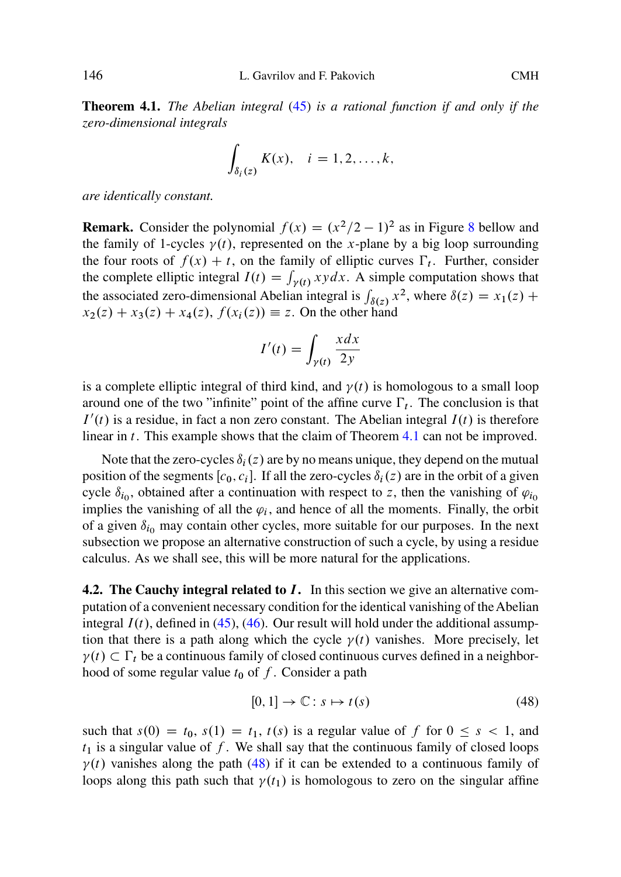**Theorem 4.1.** *The Abelian integral* (45) *is a rational function if and only if the zero-dimensional integrals*

$$
\int_{\delta_i(z)} K(x), \quad i=1,2,\ldots,k,
$$

*are identically constant.*

**Remark.** Consider the polynomial  $f(x) = (x^2/2 - 1)^2$  as in Figure 8 bellow and the family of 1-cycles  $\gamma(t)$ , represented on the x-plane by a big loop surrounding the four roots of  $f(x) + t$ , on the family of elliptic curves  $\Gamma_t$ . Further, consider the complete elliptic integral  $I(t) = \int_{\gamma(t)} xydx$ . A simple computation shows that the associated zero-dimensional Abelian integral is  $\int_{\delta(z)} x^2$ [,](#page-20-0) [w](#page-20-0)here  $\delta(z) = x_1(z) + x_2(z) + x_3(z) + x_4(z)$ .  $f(x_1(z)) = z$ . On the other hand  $x_2(z) + x_3(z) + x_4(z), f(x_i(z)) \equiv z$ . On the other hand

$$
I'(t) = \int_{\gamma(t)} \frac{x \, dx}{2y}
$$

is a complete elliptic integral of third kind, and  $\gamma(t)$  is homologous to a small loop around one of the two "infinite" point of the affine curve  $\Gamma_t$ . The conclusion is that  $I'(t)$  is a residue, in fact a non zero constant. The Abelian integral  $I(t)$  is therefore linear in t. This example shows that the claim of Theorem 4.1 can not be improved.

Note that the zero-cycles  $\delta_i(z)$  are by no means unique, they depend on the mutual position of the segments  $[c_0, c_i]$ [. I](#page-20-0)f all the zero-cycles  $\delta_i(z)$  are in the orbit of a given cycle  $\delta_{i_0}$ , obtained after a continuation with respect to z, then the vanishing of  $\varphi_{i_0}$ implies the vanishing of all the  $\varphi_i$ , and hence of all the moments. Finally, the orbit of a given  $\delta_{i_0}$  may contain other cycles, more suitable for our purposes. In the next subsection we propose an alternative construction of such a cycle, by using a residue calculus. As we shall see, this will be more natural for the applications.

**4.2. The Cauchy integral related to I.** In this section we give an alternative computation of a convenient necessary condition for the identical vanishing of the Abelian integral  $I(t)$ , defined in (45), (46). Our result will hold under the additional assumption that there is a path along which the cycle  $\gamma(t)$  vanishes. More precisely, let  $\gamma(t) \subset \Gamma_t$  be a continuous family of closed continuous curves defined in a neighbor-<br>hood of some requier value to of f. Consider a path hood of some regular value  $t_0$  of f. Consider a path

$$
[0,1] \to \mathbb{C}: s \mapsto t(s) \tag{48}
$$

such that  $s(0) = t_0$ ,  $s(1) = t_1$ ,  $t(s)$  is a regular value of f for  $0 \leq s < 1$ , and  $t_1$  is a singular value of f. We shall say that the continuous family of closed loops  $\gamma(t)$  vanishes along the path (48) if it can be extended to a continuous family of loops along this path such that  $\gamma(t_1)$  is homologous to zero on the singular affine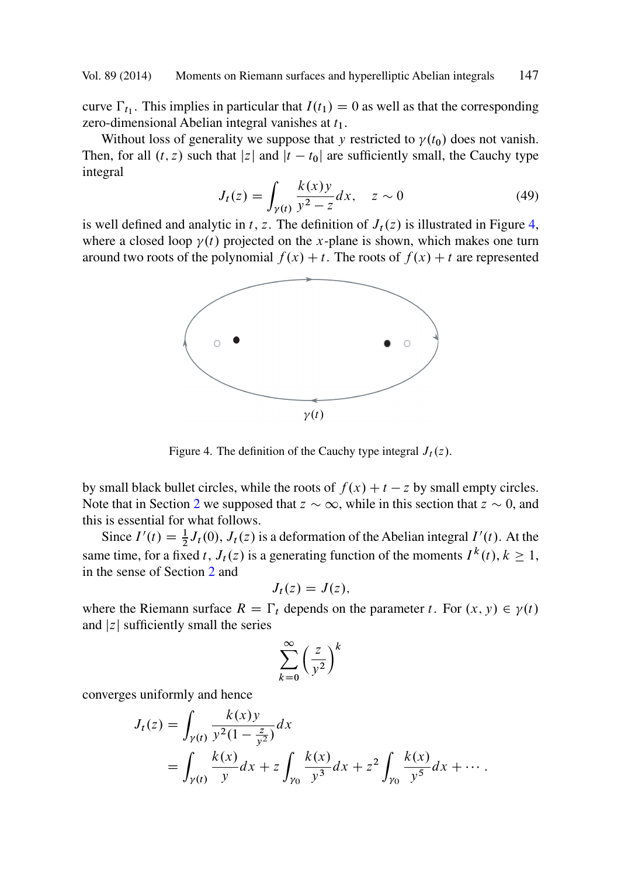curve  $\Gamma_{t_1}$ . This implies in particular that  $I(t_1) = 0$  as well as that the corresponding zero-dimensional Abelian integral vanishes at  $t_1$ .

Without loss of generality we suppose that y restricted to  $\gamma(t_0)$  does not vanish. Then, for all  $(t, z)$  such that |z| and  $|t - t_0|$  are sufficiently small, the Cauchy type integral

$$
J_t(z) = \int_{\gamma(t)} \frac{k(x)y}{y^2 - z} dx, \quad z \sim 0
$$
 (49)  
is well defined and analytic in t, z. The definition of  $J_t(z)$  is illustrated in Figure 4,

where a closed loop  $\gamma(t)$  projected on the x-plane is shown, which makes one turn around two roots of the polynomial  $f(x) + t$ . The roots of  $f(x) + t$  are represented



Figure 4. The definition of the Cauchy type integral  $J_t(z)$ .

by small black bullet circles, while the roots of  $f(x) + t - z$  by small empty circles. Note that in Section 2 we supposed that  $z \sim \infty$ , while in this section that  $z \sim 0$ , and this is essential for what follows.

Since  $I'(t) = \frac{1}{2}J_t(0)$ ,  $J_t(z)$  is a deformation of the Abelian integral  $I'(t)$ . At the same time, for a fixed t,  $J_t(z)$  is a generating function of the moments  $I^k(t)$ ,  $k \geq 1$ , in the sense of Section 2 and in the sense of Section 2 and

$$
J_t(z) = J(z),
$$

where the Riemann surface  $R = \Gamma_t$  depends on the parameter t. For  $(x, y) \in \gamma(t)$ <br>and  $|z|$  sufficiently small the series and  $|z|$  sufficiently small the series

$$
\sum_{k=0}^{\infty} \left(\frac{z}{y^2}\right)^k
$$

converges uniformly and hence

$$
J_t(z) = \int_{\gamma(t)} \frac{k(x)y}{y^2(1 - \frac{z}{y^2})} dx
$$
  
= 
$$
\int_{\gamma(t)} \frac{k(x)}{y} dx + z \int_{\gamma_0} \frac{k(x)}{y^3} dx + z^2 \int_{\gamma_0} \frac{k(x)}{y^5} dx + \cdots
$$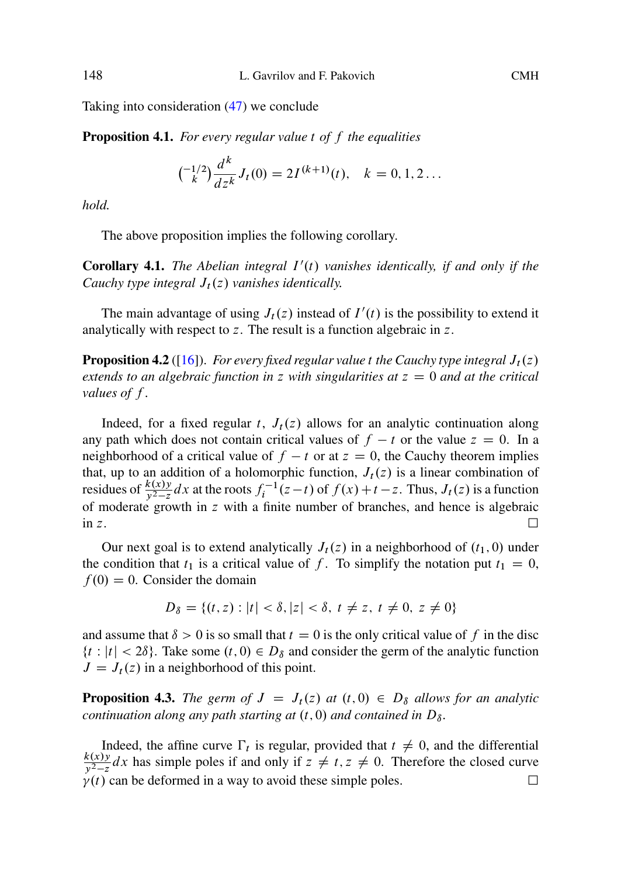Taking into consideration (47) we conclude

**Proposition 4.1.** *For every regular value* t *of* f *the equalities*

$$
{-1/2 \choose k} \frac{d^k}{dz^k} J_t(0) = 2I^{(k+1)}(t), \quad k = 0, 1, 2 \dots
$$

*hold.*

The above proposition implies the following corollary.

**Corollary 4.1.** *The Abelian integral*  $I'(t)$  *vanishes identically, if and only if the Cauchy type integral*  $J_t(z)$  *vanishes identically.* 

The main advantage of using  $J_t(z)$  instead of  $I'(t)$  is the possibility to extend it analytically with respect to z. The result is a function algebraic in z.

**Proposition 4.2** ([16]). *For every fixed regular value t the Cauchy type integral*  $J_t(z)$ *extends to an algebraic function in* z *with singularities at*  $z = 0$  *and at the critical values of* f *.*

Indeed, for a fixed regular t,  $J_t(z)$  allows for an analytic continuation along any path which does not contain critical values of  $f - t$  or the value  $z = 0$ . In a neighborhood of a critical value of  $f - t$  or at  $z = 0$ , the Cauchy theorem implies that, up to an addition of a holomorphic function,  $J_t(z)$  is a linear combination of residues of  $\frac{k(x)y}{y^2-z}dx$  at the roots  $f_i^{-1}(z-t)$  of  $f(x)+t-z$ . Thus,  $J_t(z)$  is a function of moderate growth in z with a finite number of branches, and hence is algebraic in z.  $\Box$ 

Our next goal is to extend analytically  $J_t(z)$  in a neighborhood of  $(t_1, 0)$  under the condition that  $t_1$  is a critical value of f. To simplify the notation put  $t_1 = 0$ ,  $f(0) = 0$ . Consider the domain

$$
D_{\delta} = \{(t, z) : |t| < \delta, |z| < \delta, t \neq z, t \neq 0, z \neq 0\}
$$

and assume that  $\delta > 0$  is so small that  $t = 0$  is the only critical value of f in the disc  $\{t : |t| < 2\delta\}$ . Take some  $(t, 0) \in D_{\delta}$  and consider the germ of the analytic function  $J = J_t(z)$  in a neighborhood of this point.

**Proposition 4.3.** *The germ of*  $J = J_t(z)$  *at*  $(t, 0) \in D_\delta$  *allows for an analytic continuation along any path starting at*  $(t, 0)$  *and contained in*  $D_{\delta}$ *.* 

Indeed, the affine curve  $\Gamma_t$  is regular, provided that  $t \neq 0$ , and the differential  $\frac{k(x)y}{y^2-z}$  dx has simple poles if and only if  $z \neq t, z \neq 0$ . Therefore the closed curve  $\Gamma$  $\gamma(t)$  can be deformed in a way to avoid these simple poles.  $\Box$ 

<span id="page-23-0"></span>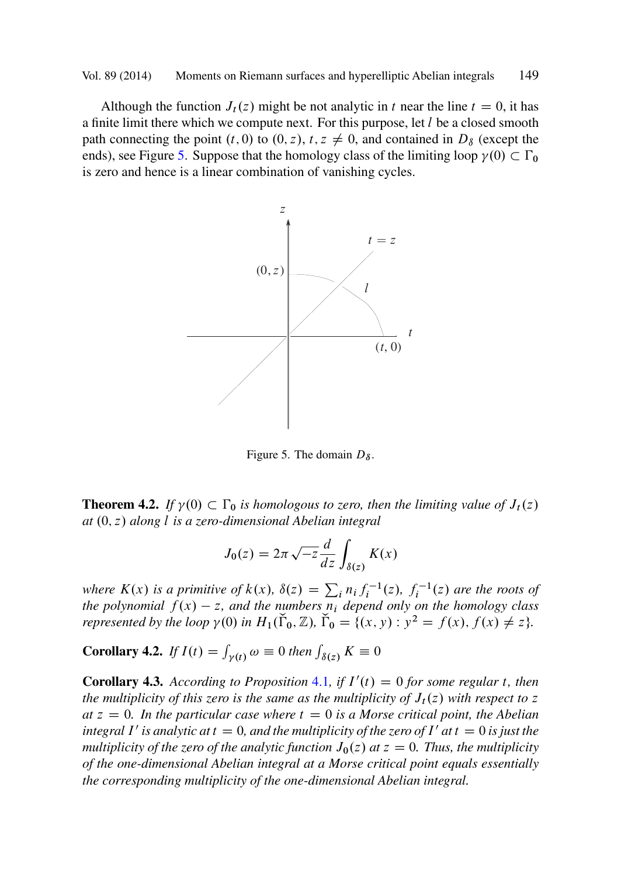<span id="page-24-0"></span>Although the function  $J_t(z)$  might be not analytic in t near the line  $t = 0$ , it has a finite limit there which we compute next. For this purpose, let  $l$  be a closed smooth path connecting the point  $(t, 0)$  to  $(0, z)$ ,  $t, z \neq 0$ , and contained in  $D_{\delta}$  (except the ends), see Figure 5. Suppose that the homology class of the limiting loop  $\gamma(0) \subset \Gamma_0$ <br>is zero and hence is a linear combination of vanishing cycles is zero and hence is a linear combination of vanishing cycles.



Figure 5. The domain  $D_{\delta}$ .

**Theorem 4.2.** *If*  $\gamma$ (0)  $\subset \Gamma_0$  *is homologous to zero, then the limiting value of*  $J_t(z)$  *at* (0, 7) *along l is a zero-dimensional Abelian integral at*  $(0, z)$  *along l is a zero-dimensional Abelian integral* 

$$
J_0(z) = 2\pi \sqrt{-z} \frac{d}{dz} \int_{\delta(z)} K(x)
$$

where  $K(x)$  is a primitive of  $k(x)$ ,  $\delta(z) = \sum_i n_i f_i^{-1}(z)$ ,  $f_i^{-1}(z)$  are the roots of<br>the polynomial  $f(x) = z$ , and the numbers *n*, depend only on the homology class *the polynomial*  $f(x) - z$ , and the numbers  $n_i$  depend only on the homology class represented by the loop  $\gamma(0)$  *in*  $H_1(\tilde{\Gamma}_0, \mathbb{Z})$ ,  $\tilde{\Gamma}_0 = \{(x, y) : y^2 = f(x), f(x) \neq z\}$ .

**Corollary 4.2.** *If*  $I(t) = \int_{\gamma(t)} \omega \equiv 0$  *then*  $\int_{\delta(z)} K \equiv 0$ 

**Corollary 4.3.** According to Proposition 4.1, if  $I'(t) = 0$  for some regular t, then the multiplicity of this zero is the same as the multiplicity of  $L(z)$  with respect to z *the multiplicity of this zero is the same as the multiplicity of*  $J_t(z)$  *with respect to* z  $at z = 0$ *. In the particular case where*  $t = 0$  *is a Morse critical point, the Abelian integral* I' is analytic at  $t = 0$ , and the multiplicity of the zero of I' at  $t = 0$  is just the *multiplicity of the zero of the analytic function*  $J_0(z)$  *at*  $z = 0$ *. Thus, the multiplicity of the one-dimensional Abelian integral at a Morse critical point equals essentially the corresponding multiplicity of the one-dimensional Abelian integral.*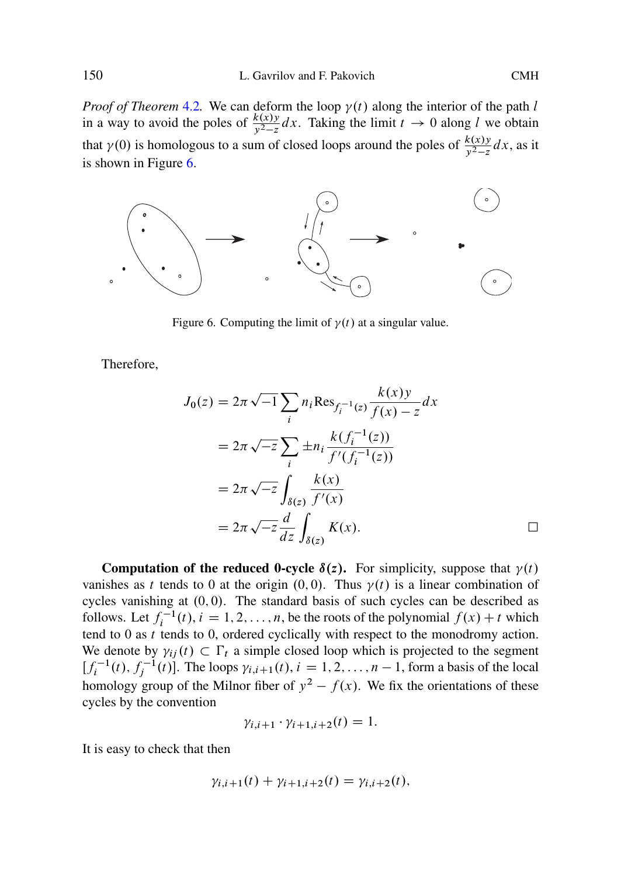*Proof of Theorem* 4.2. We can deform the loop  $\gamma(t)$  along the interior of the path l in a way to avoid the poles of  $\frac{k(xy)}{y^2-z}dx$ . Taking the limit  $t \to 0$  along l we obtain that  $\gamma(0)$  is homologous to a sum of closed loops around the poles of  $\frac{k(x)y}{y^2-z}dx$ , as it is shown in Figure 6.



Figure 6. Computing the limit of  $\gamma(t)$  at a singular value.

Therefore,

$$
J_0(z) = 2\pi \sqrt{-1} \sum_i n_i \text{Res}_{f_i^{-1}(z)} \frac{k(x)y}{f(x) - z} dx
$$
  
=  $2\pi \sqrt{-z} \sum_i \pm n_i \frac{k(f_i^{-1}(z))}{f'(f_i^{-1}(z))}$   
=  $2\pi \sqrt{-z} \int_{\delta(z)} \frac{k(x)}{f'(x)}$   
=  $2\pi \sqrt{-z} \frac{d}{dz} \int_{\delta(z)} K(x).$ 

**Computation of the reduced 0-cycle**  $\delta(z)$ **.** For simplicity, suppose that  $\gamma(t)$ vanishes as t tends to 0 at the origin  $(0,0)$ . Thus  $\gamma(t)$  is a linear combination of cycles vanishing at  $(0, 0)$ . The standard basis of such cycles can be described as follows. Let  $f_i^{-1}(t)$ ,  $i = 1, 2, ..., n$ , be the roots of the polynomial  $f(x) + t$  which tend to  $0$  as  $t$  tends to  $0$ , ordered cyclically with respect to the monodromy action. We denote by  $\gamma_{ij}(t) \subset \Gamma_t$  a simple closed loop which is projected to the segment  $\Gamma_{t-1}(t)$   $f^{-1}(t)$  The loops  $y_{i+1}(t)$   $i = 1, 2, ..., n-1$  form a basis of the local  $[f_i^{-1}(t), f_j^{-1}(t)]$ . The loops  $\gamma_{i,i+1}(t), i = 1, 2, ..., n-1$ , form a basis of the local<br>hamples: group of the Milner fiber of  $x^2$ ,  $f(x)$ . We fix the grientations of these homology group of the Milnor fiber of  $y^2 - f(x)$ . We fix the orientations of these excles by the convention cycles by the convention

$$
\gamma_{i,i+1}\cdot\gamma_{i+1,i+2}(t)=1.
$$

It is easy to check that then

$$
\gamma_{i,i+1}(t) + \gamma_{i+1,i+2}(t) = \gamma_{i,i+2}(t),
$$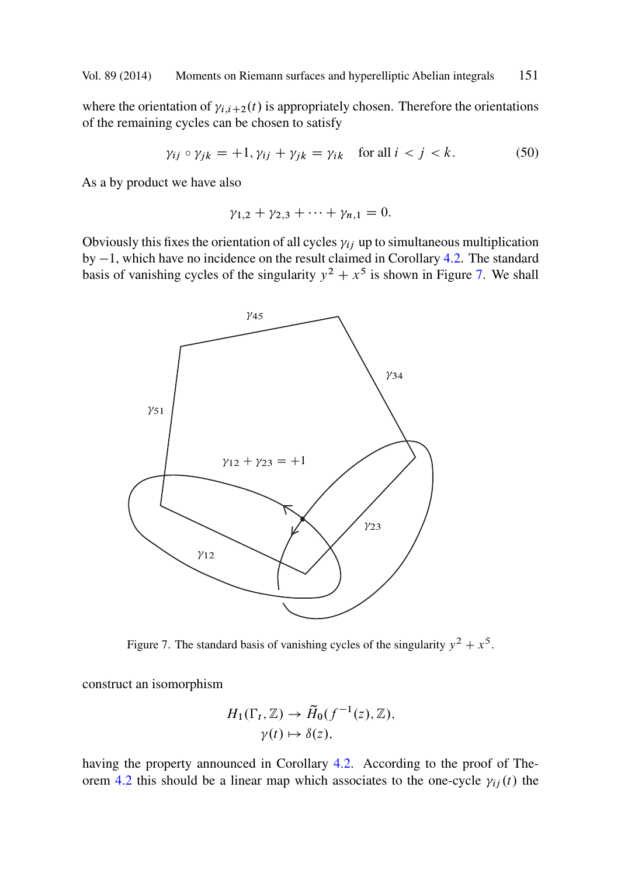whe[re th](#page-24-0)e orientation of  $\gamma_{i,i+2}(t)$  is appropriately chosen. Therefore the orientations of the remaining cycles can be chosen to satisfy

$$
\gamma_{ij} \circ \gamma_{jk} = +1, \gamma_{ij} + \gamma_{jk} = \gamma_{ik} \quad \text{for all } i < j < k. \tag{50}
$$

As a by product we have also

$$
\gamma_{1,2} + \gamma_{2,3} + \cdots + \gamma_{n,1} = 0.
$$

Obviously this fixes the orientation of all cycles  $y_{ij}$  up to simultaneous multiplication by  $-1$ , which have no incidence on the result claimed in Corollary 4.2. The standard<br>basis of vanishing cycles of the singularity  $y^2 + x^5$  is shown in Figure 7. We shall basis of vanishing cycles of the singularity  $y^2 + x^5$  is shown in Figure 7. We shall



[Fi](#page-24-0)gure 7. The standard basis of vanishing cycles of the singularity  $y^2 + x^5$ .

construct an isomorphism

$$
H_1(\Gamma_t, \mathbb{Z}) \to \widetilde{H}_0(f^{-1}(z), \mathbb{Z}),
$$
  

$$
\gamma(t) \mapsto \delta(z),
$$

having the property announced in Corollary 4.2. According to the proof of Theorem 4.2 this should be a linear map which associates to the one-cycle  $\gamma_{ij}(t)$  the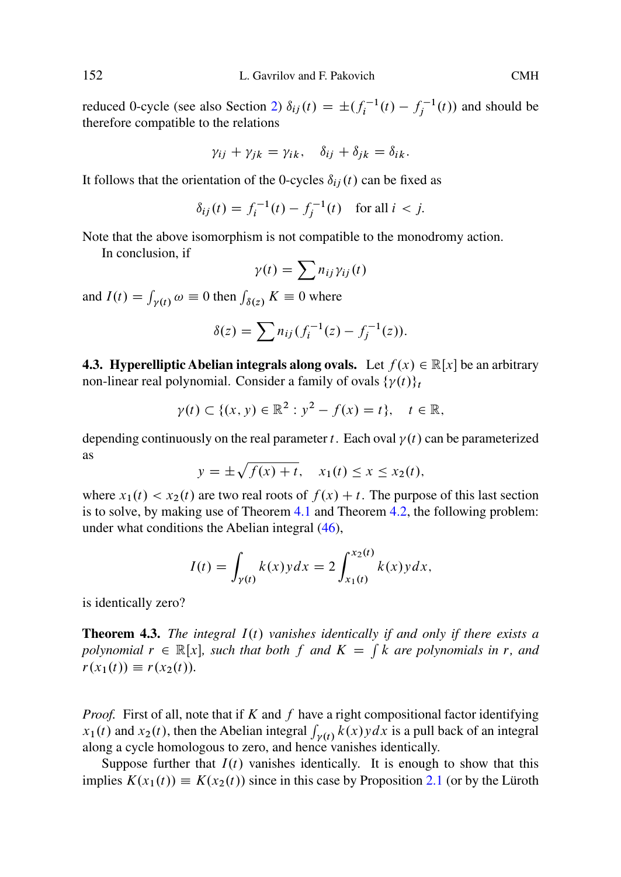reduced 0-cycle (see also Section 2)  $\delta_{ij}(t) = \pm (f_i^{-1}(t) - f_j^{-1}(t))$  and should be therefore compatible to the relations therefore compatible to the relations

$$
\gamma_{ij} + \gamma_{jk} = \gamma_{ik}, \quad \delta_{ij} + \delta_{jk} = \delta_{ik}.
$$

It follows that the orientation of the 0-cycles  $\delta_{ij}(t)$  can be fixed as

$$
\delta_{ij}(t) = f_i^{-1}(t) - f_j^{-1}(t)
$$
 for all  $i < j$ .

Note that the above isomorphism is not compatible to the monodromy action.

In conclusion, if

$$
\gamma(t) = \sum n_{ij} \gamma_{ij}(t)
$$

and  $I(t) = \int_{\gamma(t)} \omega \equiv 0$  then  $\int_{\delta(z)} K \equiv 0$  where

$$
\delta(z) = \sum n_{ij} (f_i^{-1}(z) - f_j^{-1}(z)).
$$

**4.3. Hyperelliptic Abelian integrals [alon](#page-20-0)g ovals.** Let  $f(x) \in \mathbb{R}[x]$  be an arbitrary non-linear real polynomial. Consider a fam[ily](#page-20-0) of ovals  $\{\gamma(t)\}_t$ 

$$
\gamma(t) \subset \{(x, y) \in \mathbb{R}^2 : y^2 - f(x) = t\}, \quad t \in \mathbb{R},
$$

depending continuously on the real parameter t. Each oval  $\gamma(t)$  can be parameterized as

$$
y = \pm \sqrt{f(x) + t}, \quad x_1(t) \le x \le x_2(t),
$$

where  $x_1(t) < x_2(t)$  are two real roots of  $f(x) + t$ . The purpose of this last section is to solve, by making use of Theorem 4.1 and Theorem 4.2, the following problem: under what conditions the Abelian integral (46),

$$
I(t) = \int_{\gamma(t)} k(x) y dx = 2 \int_{x_1(t)}^{x_2(t)} k(x) y dx,
$$

is identically zero?

**Theorem 4.3.** *The integral*  $I(t)$  *vanishes identically if and [only](#page-7-0) if there exists a polynomial*  $r \in \mathbb{R}[x]$ *, such that both* f *and*  $K = \int k$  *are polynomials in* r*, and*  $r(x_1(t)) \equiv r(x_2(t)).$ 

*Proof.* First of all, note that if  $K$  and  $f$  have a right compositional factor identifying  $x_1(t)$  and  $x_2(t)$ , then the Abelian integral  $\int_{\gamma(t)} k(x)y dx$  is a pull back of an integral along a cycle homologous to zero, and hence vanishes identically.

Suppose further that  $I(t)$  vanishes identically. It is enough to show that this implies  $K(x_1(t)) \equiv K(x_2(t))$  since in this case by Proposition 2.1 (or by the Lüroth

<span id="page-27-0"></span>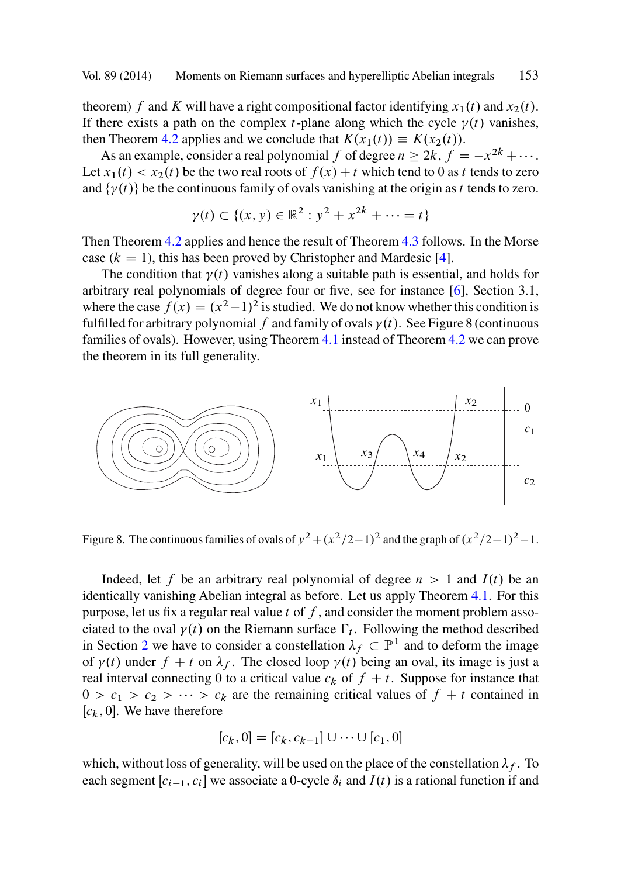<span id="page-28-0"></span>theorem) f and [K](#page-24-0) will have a right compositional factor id[enti](#page-27-0)fyi[ng](#page-29-0)  $x_1(t)$  and  $x_2(t)$ . If there exists a path on the complex *t*-plane along which the cycle  $\gamma(t)$  vanishes, then Theorem 4.2 applies and we conclude that  $K(x_1(t)) \equiv K(x_2(t))$ .

As an example, consider a real polynomial f of degree  $n \ge 2k$ ,  $f = -x^{2k} + \cdots$ . Let  $x_1(t) < x_2(t)$  be the two real roots of  $f(x) + t$  which tend to 0 as t tends to zero and  $\{\gamma(t)\}\$  be the continuous family of ovals [van](#page-20-0)ishing at the origin [as](#page-24-0) t tends to zero.

$$
\gamma(t) \subset \{(x, y) \in \mathbb{R}^2 : y^2 + x^{2k} + \dots = t\}
$$

Then Theorem 4.2 applies and hence the result of Theorem 4.3 follows. In the Morse case ( $k = 1$ ), this has been proved by Christopher and Mardesic [4].

The condition that  $\gamma(t)$  vanishes along a suitable path is essential, and holds for arbitrary real polynomials of degree four or five, see for instance [6], Section 3.1, where the case  $f(x) = (x^2-1)^2$  is studied. We do not know whether this condition is fulfilled for arbitrary polynomial f and family of ovals  $\gamma(t)$ . See Figure 8 (continuous families of ovals). However, using Theorem 4.1 instead of Theorem 4.2 we can prove the theorem in its full generality.



Figure 8. The continuous families of ovals of  $y^2 + (x^2/2-1)^2$  and the graph of  $(x^2/2-1)^2-1$ .

Indeed, let f be an arbitrary real polynomial of degree  $n>1$  and  $I(t)$  be an identically vanishing Abelian integral as before. Let us apply Theorem 4.1. For this purpose, let us fix a regular real value  $t$  of  $f$ , and consider the moment problem associated to the oval  $\gamma(t)$  on the Riemann surface  $\Gamma_t$ . Following the method described in Section 2 we have to consider a constellation  $\lambda_f \subset \mathbb{P}^1$  and to deform the image<br>of  $v(t)$  under  $f + t$  on  $\lambda_f$ . The closed loop  $v(t)$  being an oval, its image is just a of  $\gamma(t)$  under  $f + t$  on  $\lambda_f$ . The closed loop  $\gamma(t)$  being an oval, its image is just a<br>real interval connecting 0 to a critical value  $c_i$ , of  $f + t$ . Suppose for instance that real interval connecting 0 to a critical value  $c_k$  of  $f + t$ . Suppose for instance that  $0 > c_1 > c_2 > \cdots > c_k$  are the remaining critical values of  $f + t$  contained in  $[c_k, 0]$ . We have therefore

$$
[c_k, 0] = [c_k, c_{k-1}] \cup \dots \cup [c_1, 0]
$$

which, without loss of generality, will be used on the place of the constellation  $\lambda_f$ . To each segment  $[c_{i-1}, c_i]$  we associate a 0-cycle  $\delta_i$  and  $I(t)$  is a rational function if and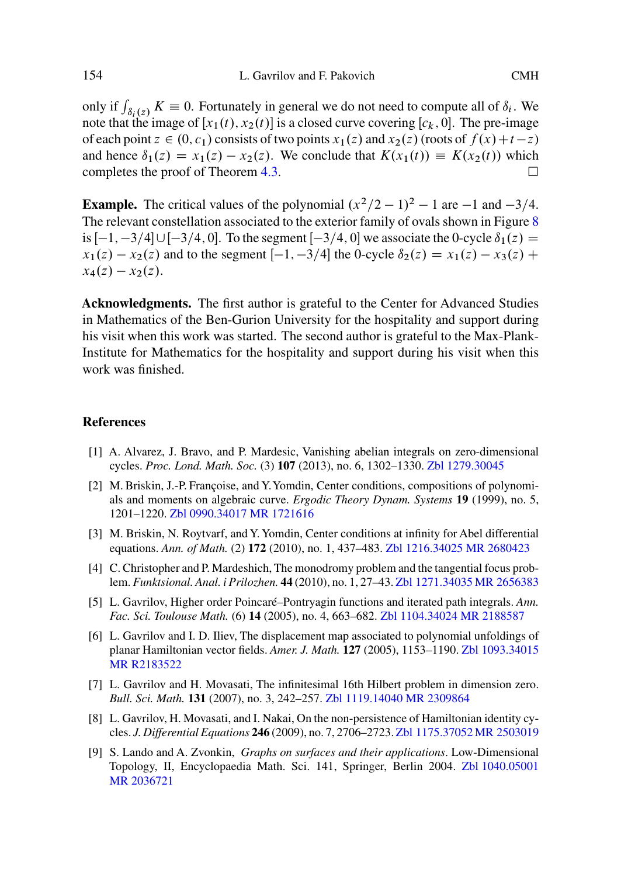only if  $\int_{\delta_i(z)} K \equiv 0$ . Fortunately in general we do not need to compute all of  $\delta_i$ . We note that the image of  $[x, (t), x_2(t)]$  is a closed curve covering  $[x, 0]$ . The pre-image note that the image of  $[x_1(t), x_2(t)]$  is a closed curve covering  $[c_k, 0]$ . The pre-image of each point  $z \in (0, c_1)$  consists of two points  $x_1(z)$  and  $x_2(z)$  (roots of  $f(x)+t-z$ ) and hence  $\delta_1(z) = x_1(z) - x_2(z)$ . We conclude that  $K(x_1(t)) \equiv K(x_2(t))$  which completes the proof of Theorem 4.3.

**Example.** The critical values of the polynomial  $(x^2/2 - 1)^2 - 1$  are  $-1$  and  $-3/4$ . The relevant constellation associated to the exterior family of ovals shown in Figure 8 is  $[-1, -3/4] \cup [-3/4, 0]$ . To the segment  $[-3/4, 0]$  we associate the 0-cycle  $\delta_1(z)$  =  $x_1(z) - x_2(z)$  and to the segment  $[-1, -3/4]$  the 0-cycle  $\delta_2(z) = x_1(z) - x_3(z) +$  $x_4(z) - x_2(z)$ .

**Acknowledgments.** The first author is grateful to the Center for Advanced Studies in Mathematics of the Ben-Gurion University for the hospitalit[y and support d](http://www.emis.de/MATH-item?1279.30045)uring his visit when this work was started. The second author is grateful to the Max-Plank-Institute for Mathematics for the hospitality and support during his visit when this work was finish[ed.](http://www.emis.de/MATH-item?0990.34017)

## **References**

- [1] A. Alvarez, J. Bravo, and P. Mardesic, Vanishing abelian integrals on zero-dimensional cycles. *Proc. Lond. Math. Soc.* (3) **107** (2013), no. 6, 1[302–1330.](http://www.emis.de/MATH-item?1104.34024) Zbl 12[79.30045](http://www.ams.org/mathscinet-getitem?mr=2188587)
- [2] M. Briskin, J.-P. Françoise, and Y.Yomdin, Center conditions, compositions of polynomials and moments on algebraic curve. *Ergodic Theory Dynam. Systems* **19** [\(1999\), no. 5,](http://www.emis.de/MATH-item?1093.34015) [1201–1220.](http://www.ams.org/mathscinet-getitem?mr=R2183522) Zbl 0990.34017 MR 1721616
- [3] M. Briskin, N. Roytvarf, and Y. Yomdin, Center conditions at infinity for Abel differential equations. *Ann. of Math.* (2) **172** (2010), no. [1, 437–483.](http://www.emis.de/MATH-item?1119.14040) Zbl [1216.34025 M](http://www.ams.org/mathscinet-getitem?mr=2309864)R 2680423
- [4] C. Christopher and P. Mardeshich, The monodromy problem and the tangential focus problem. *Funktsional. Anal. i Prilozhen.* **44** (2010), no. 1, 27–43. [Zbl 1271.34035](http://www.emis.de/MATH-item?1175.37052) [MR 2656383](http://www.ams.org/mathscinet-getitem?mr=2503019)
- [5] L. Gavrilov, Higher order Poincaré–Pontryagin functions and iterated path integrals. *Ann. Fac. Sci. Toulouse Math.* (6) **14** (2005), no. 4, 663–682. Zbl 1104.34024 [MR 2188587](http://www.emis.de/MATH-item?1040.05001)
- [6] [L. Gavrilov an](http://www.ams.org/mathscinet-getitem?mr=2036721)d I. D. Iliev, The displacement map associated to polynomial unfoldings of planar Hamiltonian vector fields. *Amer. J. Math.* **127** (2005), 1153–1190. Zbl 1093.34015 MR R2183522
- [7] L. Gavrilov and H. Movasati, The infinitesimal 16th Hilbert problem in dimension zero. *Bull. Sci. Math.* **131** (2007), no. 3, 242–257. Zbl 1119.14040 MR 2309864
- [8] L. Gavrilov, H. Movasati, and I. Nakai, On the non-persistence of Hamiltonian identity cycles. *J. Differential Equations* **246** (2009), no. 7, 2706–2723. Zbl 1175.37052 MR 2503019
- [9] S. Lando and A. Zvonkin, *Graphs on surfaces and their applications*. Low-Dimensional Topology, II, Encyclopaedia Math. Sci. 141, Springer, Berlin 2004. Zbl 1040.05001 MR 2036721

<span id="page-29-0"></span>